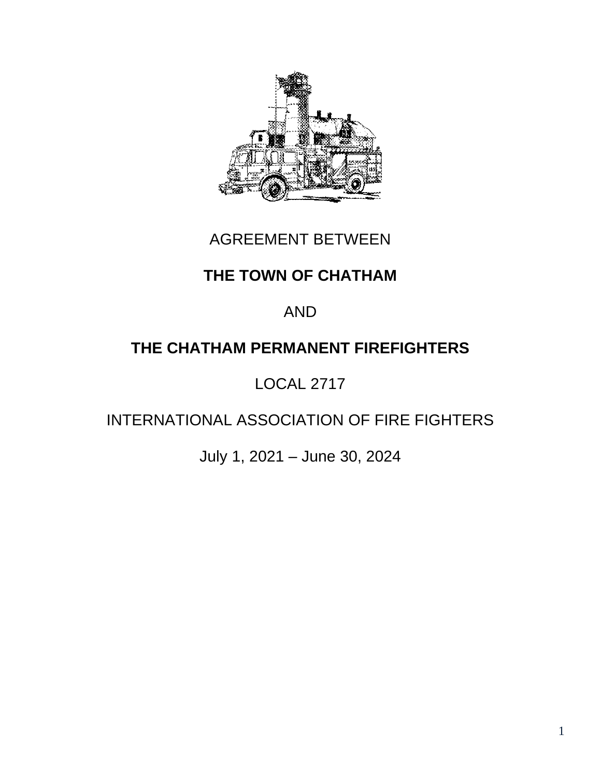

## AGREEMENT BETWEEN

## **THE TOWN OF CHATHAM**

## AND

# **THE CHATHAM PERMANENT FIREFIGHTERS**

# LOCAL 2717

# INTERNATIONAL ASSOCIATION OF FIRE FIGHTERS

July 1, 2021 – June 30, 2024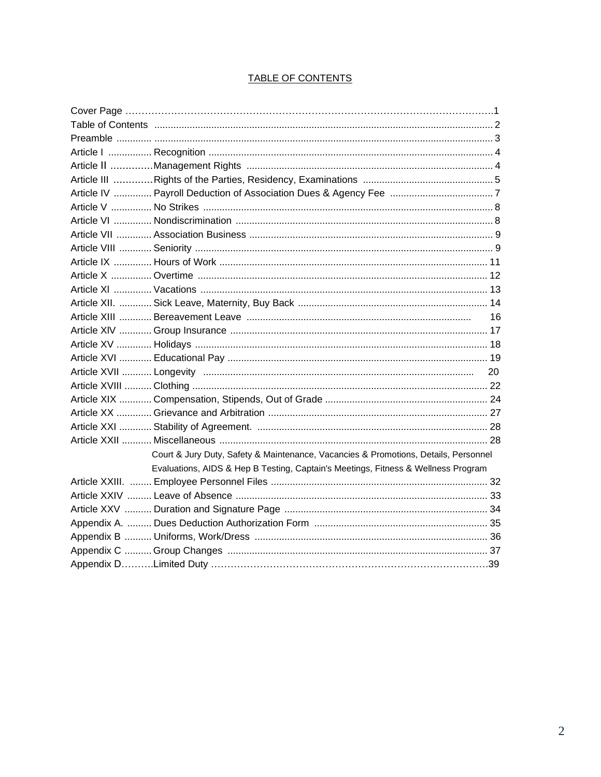| Court & Jury Duty, Safety & Maintenance, Vacancies & Promotions, Details, Personnel |  |
|-------------------------------------------------------------------------------------|--|
| Evaluations, AIDS & Hep B Testing, Captain's Meetings, Fitness & Wellness Program   |  |
|                                                                                     |  |
|                                                                                     |  |
|                                                                                     |  |
|                                                                                     |  |
|                                                                                     |  |
|                                                                                     |  |
|                                                                                     |  |

### TABLE OF CONTENTS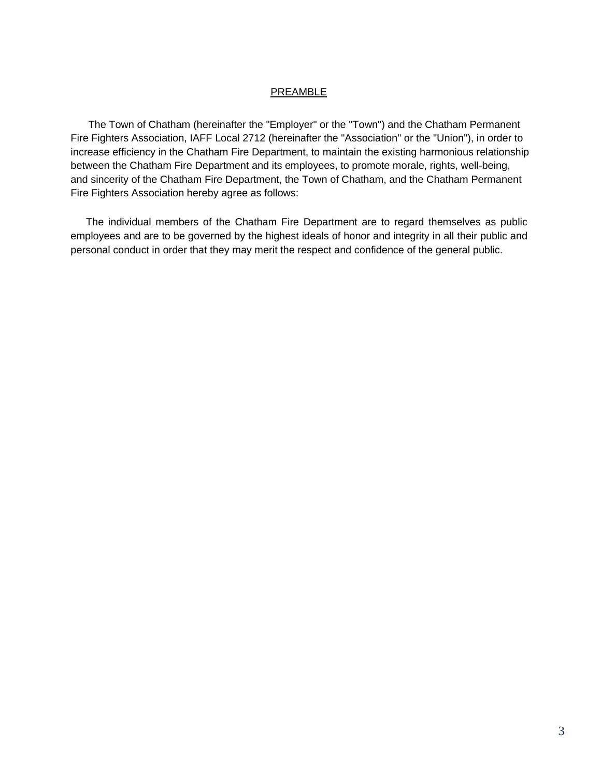#### **PREAMBLE**

The Town of Chatham (hereinafter the "Employer" or the "Town") and the Chatham Permanent Fire Fighters Association, IAFF Local 2712 (hereinafter the "Association" or the "Union"), in order to increase efficiency in the Chatham Fire Department, to maintain the existing harmonious relationship between the Chatham Fire Department and its employees, to promote morale, rights, well-being, and sincerity of the Chatham Fire Department, the Town of Chatham, and the Chatham Permanent Fire Fighters Association hereby agree as follows:

The individual members of the Chatham Fire Department are to regard themselves as public employees and are to be governed by the highest ideals of honor and integrity in all their public and personal conduct in order that they may merit the respect and confidence of the general public.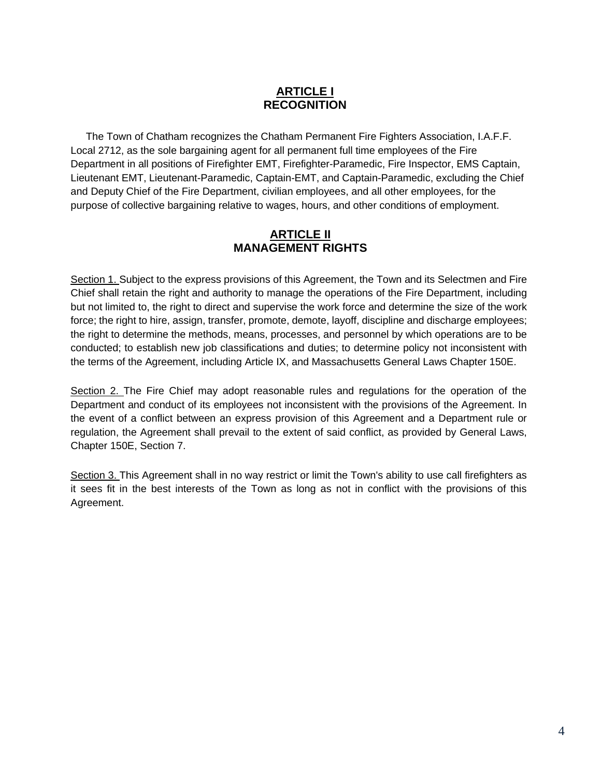## **ARTICLE I RECOGNITION**

The Town of Chatham recognizes the Chatham Permanent Fire Fighters Association, I.A.F.F. Local 2712, as the sole bargaining agent for all permanent full time employees of the Fire Department in all positions of Firefighter EMT, Firefighter-Paramedic, Fire Inspector, EMS Captain, Lieutenant EMT, Lieutenant-Paramedic, Captain-EMT, and Captain-Paramedic, excluding the Chief and Deputy Chief of the Fire Department, civilian employees, and all other employees, for the purpose of collective bargaining relative to wages, hours, and other conditions of employment.

## **ARTICLE II MANAGEMENT RIGHTS**

Section 1. Subject to the express provisions of this Agreement, the Town and its Selectmen and Fire Chief shall retain the right and authority to manage the operations of the Fire Department, including but not limited to, the right to direct and supervise the work force and determine the size of the work force; the right to hire, assign, transfer, promote, demote, layoff, discipline and discharge employees; the right to determine the methods, means, processes, and personnel by which operations are to be conducted; to establish new job classifications and duties; to determine policy not inconsistent with the terms of the Agreement, including Article IX, and Massachusetts General Laws Chapter 150E.

Section 2. The Fire Chief may adopt reasonable rules and regulations for the operation of the Department and conduct of its employees not inconsistent with the provisions of the Agreement. In the event of a conflict between an express provision of this Agreement and a Department rule or regulation, the Agreement shall prevail to the extent of said conflict, as provided by General Laws, Chapter 150E, Section 7.

Section 3. This Agreement shall in no way restrict or limit the Town's ability to use call firefighters as it sees fit in the best interests of the Town as long as not in conflict with the provisions of this Agreement.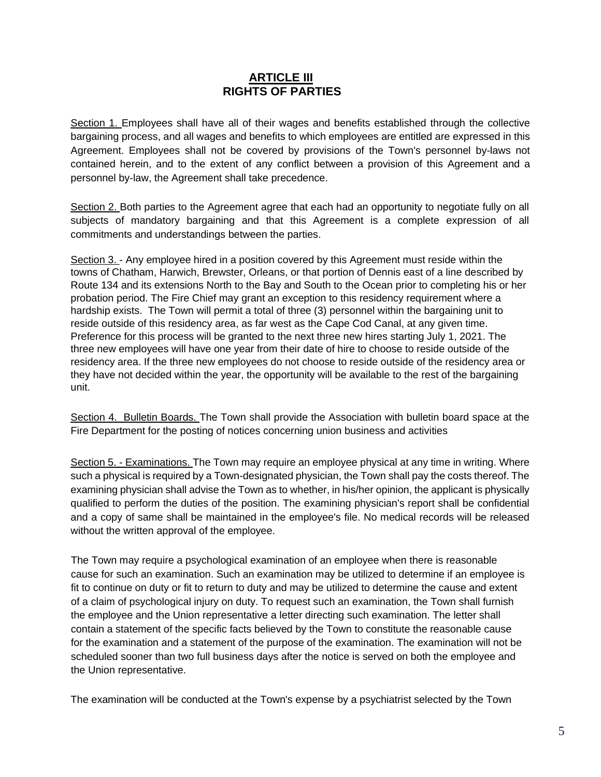### **ARTICLE III RIGHTS OF PARTIES**

Section 1. Employees shall have all of their wages and benefits established through the collective bargaining process, and all wages and benefits to which employees are entitled are expressed in this Agreement. Employees shall not be covered by provisions of the Town's personnel by-laws not contained herein, and to the extent of any conflict between a provision of this Agreement and a personnel by-law, the Agreement shall take precedence.

Section 2. Both parties to the Agreement agree that each had an opportunity to negotiate fully on all subjects of mandatory bargaining and that this Agreement is a complete expression of all commitments and understandings between the parties.

Section 3. - Any employee hired in a position covered by this Agreement must reside within the towns of Chatham, Harwich, Brewster, Orleans, or that portion of Dennis east of a line described by Route 134 and its extensions North to the Bay and South to the Ocean prior to completing his or her probation period. The Fire Chief may grant an exception to this residency requirement where a hardship exists. The Town will permit a total of three (3) personnel within the bargaining unit to reside outside of this residency area, as far west as the Cape Cod Canal, at any given time. Preference for this process will be granted to the next three new hires starting July 1, 2021. The three new employees will have one year from their date of hire to choose to reside outside of the residency area. If the three new employees do not choose to reside outside of the residency area or they have not decided within the year, the opportunity will be available to the rest of the bargaining unit.

Section 4. Bulletin Boards. The Town shall provide the Association with bulletin board space at the Fire Department for the posting of notices concerning union business and activities

Section 5. - Examinations. The Town may require an employee physical at any time in writing. Where such a physical is required by a Town-designated physician, the Town shall pay the costs thereof. The examining physician shall advise the Town as to whether, in his/her opinion, the applicant is physically qualified to perform the duties of the position. The examining physician's report shall be confidential and a copy of same shall be maintained in the employee's file. No medical records will be released without the written approval of the employee.

The Town may require a psychological examination of an employee when there is reasonable cause for such an examination. Such an examination may be utilized to determine if an employee is fit to continue on duty or fit to return to duty and may be utilized to determine the cause and extent of a claim of psychological injury on duty. To request such an examination, the Town shall furnish the employee and the Union representative a letter directing such examination. The letter shall contain a statement of the specific facts believed by the Town to constitute the reasonable cause for the examination and a statement of the purpose of the examination. The examination will not be scheduled sooner than two full business days after the notice is served on both the employee and the Union representative.

The examination will be conducted at the Town's expense by a psychiatrist selected by the Town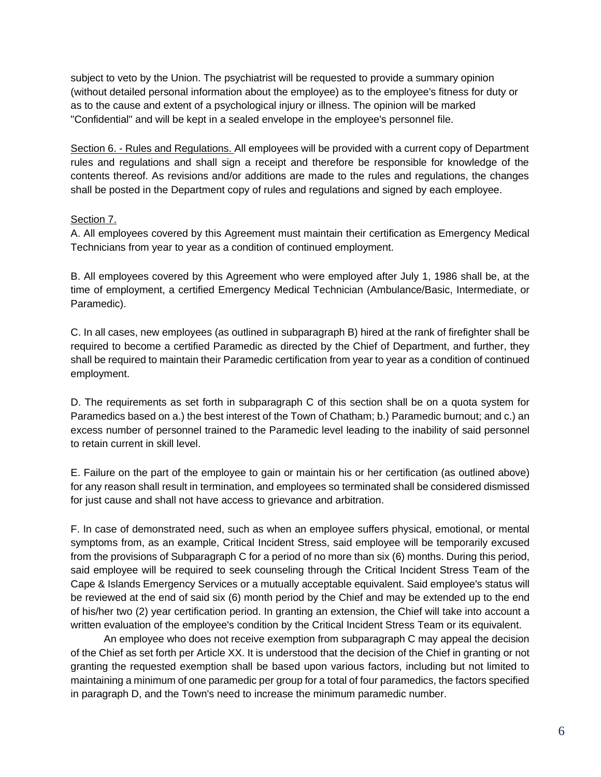subject to veto by the Union. The psychiatrist will be requested to provide a summary opinion (without detailed personal information about the employee) as to the employee's fitness for duty or as to the cause and extent of a psychological injury or illness. The opinion will be marked "Confidential" and will be kept in a sealed envelope in the employee's personnel file.

Section 6. - Rules and Regulations. All employees will be provided with a current copy of Department rules and regulations and shall sign a receipt and therefore be responsible for knowledge of the contents thereof. As revisions and/or additions are made to the rules and regulations, the changes shall be posted in the Department copy of rules and regulations and signed by each employee.

#### Section 7.

A. All employees covered by this Agreement must maintain their certification as Emergency Medical Technicians from year to year as a condition of continued employment.

B. All employees covered by this Agreement who were employed after July 1, 1986 shall be, at the time of employment, a certified Emergency Medical Technician (Ambulance/Basic, Intermediate, or Paramedic).

C. In all cases, new employees (as outlined in subparagraph B) hired at the rank of firefighter shall be required to become a certified Paramedic as directed by the Chief of Department, and further, they shall be required to maintain their Paramedic certification from year to year as a condition of continued employment.

D. The requirements as set forth in subparagraph C of this section shall be on a quota system for Paramedics based on a.) the best interest of the Town of Chatham; b.) Paramedic burnout; and c.) an excess number of personnel trained to the Paramedic level leading to the inability of said personnel to retain current in skill level.

E. Failure on the part of the employee to gain or maintain his or her certification (as outlined above) for any reason shall result in termination, and employees so terminated shall be considered dismissed for just cause and shall not have access to grievance and arbitration.

F. In case of demonstrated need, such as when an employee suffers physical, emotional, or mental symptoms from, as an example, Critical Incident Stress, said employee will be temporarily excused from the provisions of Subparagraph C for a period of no more than six (6) months. During this period, said employee will be required to seek counseling through the Critical Incident Stress Team of the Cape & Islands Emergency Services or a mutually acceptable equivalent. Said employee's status will be reviewed at the end of said six (6) month period by the Chief and may be extended up to the end of his/her two (2) year certification period. In granting an extension, the Chief will take into account a written evaluation of the employee's condition by the Critical Incident Stress Team or its equivalent.

An employee who does not receive exemption from subparagraph C may appeal the decision of the Chief as set forth per Article XX. It is understood that the decision of the Chief in granting or not granting the requested exemption shall be based upon various factors, including but not limited to maintaining a minimum of one paramedic per group for a total of four paramedics, the factors specified in paragraph D, and the Town's need to increase the minimum paramedic number.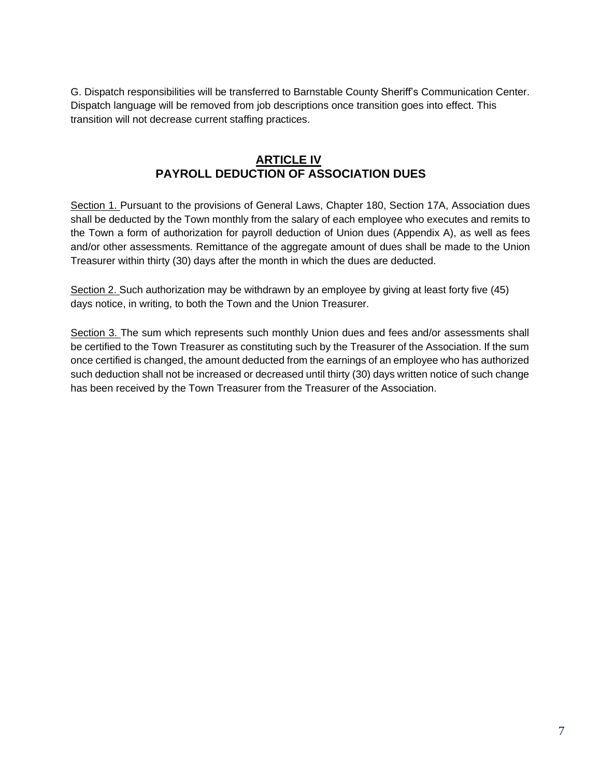G. Dispatch responsibilities will be transferred to Barnstable County Sheriff's Communication Center. Dispatch language will be removed from job descriptions once transition goes into effect. This transition will not decrease current staffing practices.

## **ARTICLE IV PAYROLL DEDUCTION OF ASSOCIATION DUES**

Section 1. Pursuant to the provisions of General Laws, Chapter 180, Section 17A, Association dues shall be deducted by the Town monthly from the salary of each employee who executes and remits to the Town a form of authorization for payroll deduction of Union dues (Appendix A), as well as fees and/or other assessments. Remittance of the aggregate amount of dues shall be made to the Union Treasurer within thirty (30) days after the month in which the dues are deducted.

Section 2. Such authorization may be withdrawn by an employee by giving at least forty five (45) days notice, in writing, to both the Town and the Union Treasurer.

Section 3. The sum which represents such monthly Union dues and fees and/or assessments shall be certified to the Town Treasurer as constituting such by the Treasurer of the Association. If the sum once certified is changed, the amount deducted from the earnings of an employee who has authorized such deduction shall not be increased or decreased until thirty (30) days written notice of such change has been received by the Town Treasurer from the Treasurer of the Association.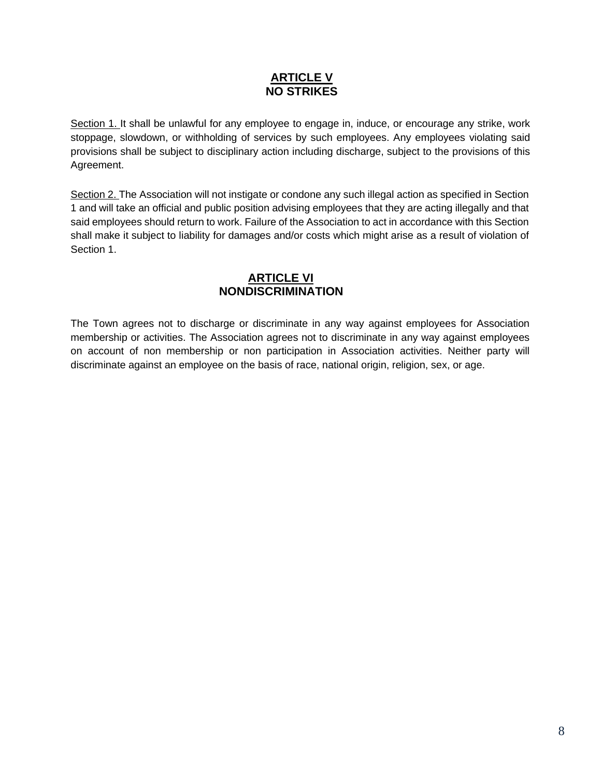## **ARTICLE V NO STRIKES**

Section 1. It shall be unlawful for any employee to engage in, induce, or encourage any strike, work stoppage, slowdown, or withholding of services by such employees. Any employees violating said provisions shall be subject to disciplinary action including discharge, subject to the provisions of this Agreement.

Section 2. The Association will not instigate or condone any such illegal action as specified in Section 1 and will take an official and public position advising employees that they are acting illegally and that said employees should return to work. Failure of the Association to act in accordance with this Section shall make it subject to liability for damages and/or costs which might arise as a result of violation of Section 1.

## **ARTICLE VI NONDISCRIMINATION**

The Town agrees not to discharge or discriminate in any way against employees for Association membership or activities. The Association agrees not to discriminate in any way against employees on account of non membership or non participation in Association activities. Neither party will discriminate against an employee on the basis of race, national origin, religion, sex, or age.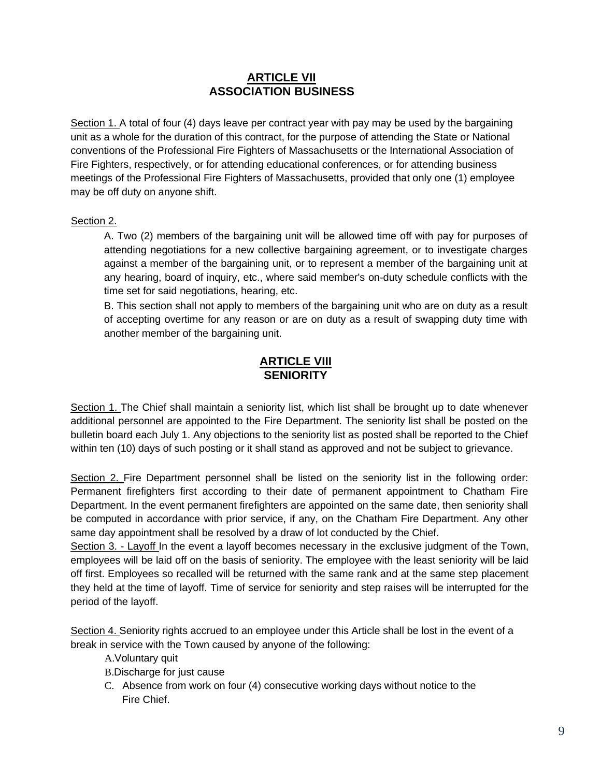## **ARTICLE VII ASSOCIATION BUSINESS**

Section 1. A total of four (4) days leave per contract year with pay may be used by the bargaining unit as a whole for the duration of this contract, for the purpose of attending the State or National conventions of the Professional Fire Fighters of Massachusetts or the International Association of Fire Fighters, respectively, or for attending educational conferences, or for attending business meetings of the Professional Fire Fighters of Massachusetts, provided that only one (1) employee may be off duty on anyone shift.

#### Section 2.

A. Two (2) members of the bargaining unit will be allowed time off with pay for purposes of attending negotiations for a new collective bargaining agreement, or to investigate charges against a member of the bargaining unit, or to represent a member of the bargaining unit at any hearing, board of inquiry, etc., where said member's on-duty schedule conflicts with the time set for said negotiations, hearing, etc.

B. This section shall not apply to members of the bargaining unit who are on duty as a result of accepting overtime for any reason or are on duty as a result of swapping duty time with another member of the bargaining unit.

## **ARTICLE VIII SENIORITY**

Section 1. The Chief shall maintain a seniority list, which list shall be brought up to date whenever additional personnel are appointed to the Fire Department. The seniority list shall be posted on the bulletin board each July 1. Any objections to the seniority list as posted shall be reported to the Chief within ten (10) days of such posting or it shall stand as approved and not be subject to grievance.

Section 2. Fire Department personnel shall be listed on the seniority list in the following order: Permanent firefighters first according to their date of permanent appointment to Chatham Fire Department. In the event permanent firefighters are appointed on the same date, then seniority shall be computed in accordance with prior service, if any, on the Chatham Fire Department. Any other same day appointment shall be resolved by a draw of lot conducted by the Chief.

Section 3. - Layoff In the event a layoff becomes necessary in the exclusive judgment of the Town, employees will be laid off on the basis of seniority. The employee with the least seniority will be laid off first. Employees so recalled will be returned with the same rank and at the same step placement they held at the time of layoff. Time of service for seniority and step raises will be interrupted for the period of the layoff.

Section 4. Seniority rights accrued to an employee under this Article shall be lost in the event of a break in service with the Town caused by anyone of the following:

A.Voluntary quit

B.Discharge for just cause

C. Absence from work on four (4) consecutive working days without notice to the Fire Chief.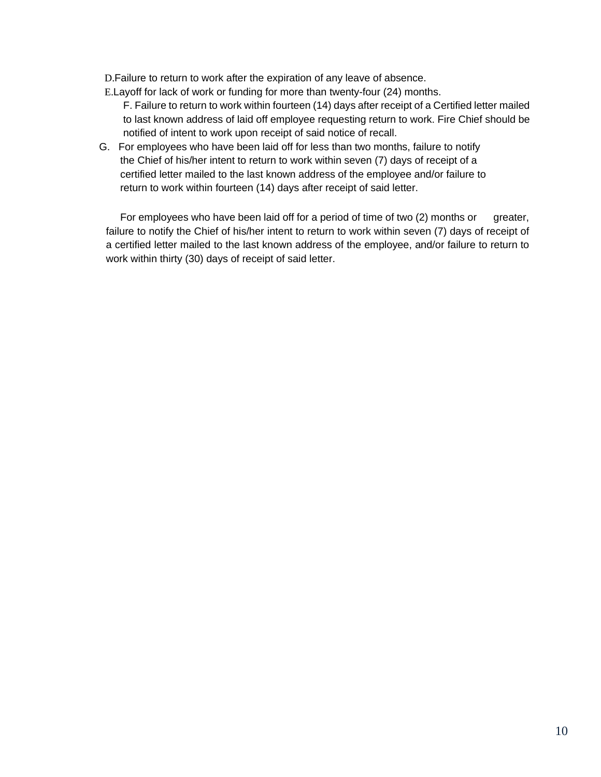D.Failure to return to work after the expiration of any leave of absence.

E.Layoff for lack of work or funding for more than twenty-four (24) months.

- F. Failure to return to work within fourteen (14) days after receipt of a Certified letter mailed to last known address of laid off employee requesting return to work. Fire Chief should be notified of intent to work upon receipt of said notice of recall.
- G. For employees who have been laid off for less than two months, failure to notify the Chief of his/her intent to return to work within seven (7) days of receipt of a certified letter mailed to the last known address of the employee and/or failure to return to work within fourteen (14) days after receipt of said letter.

For employees who have been laid off for a period of time of two (2) months or greater, failure to notify the Chief of his/her intent to return to work within seven (7) days of receipt of a certified letter mailed to the last known address of the employee, and/or failure to return to work within thirty (30) days of receipt of said letter.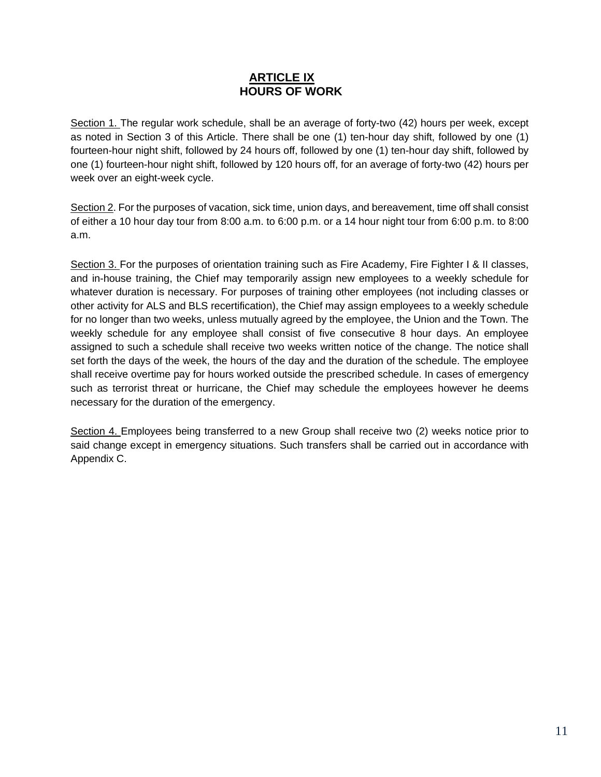## **ARTICLE IX HOURS OF WORK**

Section 1. The regular work schedule, shall be an average of forty-two (42) hours per week, except as noted in Section 3 of this Article. There shall be one (1) ten-hour day shift, followed by one (1) fourteen-hour night shift, followed by 24 hours off, followed by one (1) ten-hour day shift, followed by one (1) fourteen-hour night shift, followed by 120 hours off, for an average of forty-two (42) hours per week over an eight-week cycle.

Section 2. For the purposes of vacation, sick time, union days, and bereavement, time off shall consist of either a 10 hour day tour from 8:00 a.m. to 6:00 p.m. or a 14 hour night tour from 6:00 p.m. to 8:00 a.m.

Section 3. For the purposes of orientation training such as Fire Academy, Fire Fighter I & II classes, and in-house training, the Chief may temporarily assign new employees to a weekly schedule for whatever duration is necessary. For purposes of training other employees (not including classes or other activity for ALS and BLS recertification), the Chief may assign employees to a weekly schedule for no longer than two weeks, unless mutually agreed by the employee, the Union and the Town. The weekly schedule for any employee shall consist of five consecutive 8 hour days. An employee assigned to such a schedule shall receive two weeks written notice of the change. The notice shall set forth the days of the week, the hours of the day and the duration of the schedule. The employee shall receive overtime pay for hours worked outside the prescribed schedule. In cases of emergency such as terrorist threat or hurricane, the Chief may schedule the employees however he deems necessary for the duration of the emergency.

Section 4. Employees being transferred to a new Group shall receive two (2) weeks notice prior to said change except in emergency situations. Such transfers shall be carried out in accordance with Appendix C.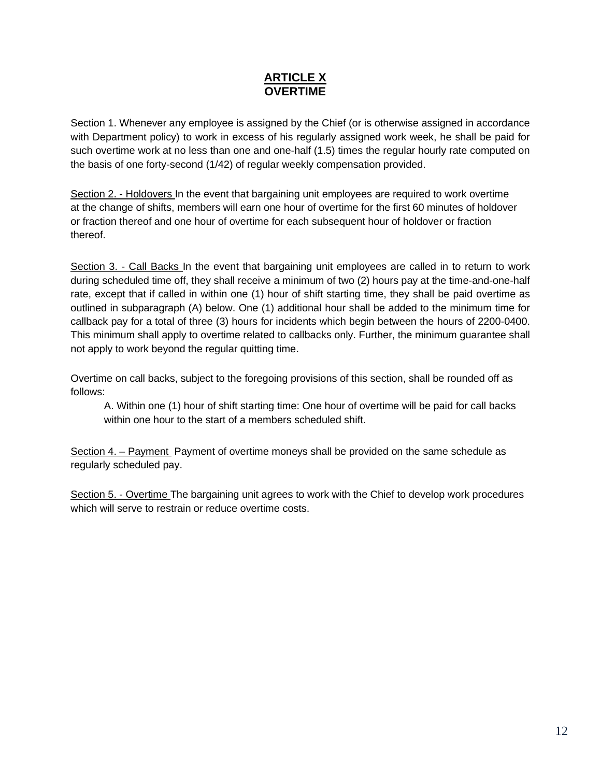## **ARTICLE X OVERTIME**

Section 1. Whenever any employee is assigned by the Chief (or is otherwise assigned in accordance with Department policy) to work in excess of his regularly assigned work week, he shall be paid for such overtime work at no less than one and one-half (1.5) times the regular hourly rate computed on the basis of one forty-second (1/42) of regular weekly compensation provided.

Section 2. - Holdovers In the event that bargaining unit employees are required to work overtime at the change of shifts, members will earn one hour of overtime for the first 60 minutes of holdover or fraction thereof and one hour of overtime for each subsequent hour of holdover or fraction thereof.

Section 3. - Call Backs In the event that bargaining unit employees are called in to return to work during scheduled time off, they shall receive a minimum of two (2) hours pay at the time-and-one-half rate, except that if called in within one (1) hour of shift starting time, they shall be paid overtime as outlined in subparagraph (A) below. One (1) additional hour shall be added to the minimum time for callback pay for a total of three (3) hours for incidents which begin between the hours of 2200-0400. This minimum shall apply to overtime related to callbacks only. Further, the minimum guarantee shall not apply to work beyond the regular quitting time.

Overtime on call backs, subject to the foregoing provisions of this section, shall be rounded off as follows:

A. Within one (1) hour of shift starting time: One hour of overtime will be paid for call backs within one hour to the start of a members scheduled shift.

Section 4. – Payment Payment of overtime moneys shall be provided on the same schedule as regularly scheduled pay.

Section 5. - Overtime The bargaining unit agrees to work with the Chief to develop work procedures which will serve to restrain or reduce overtime costs.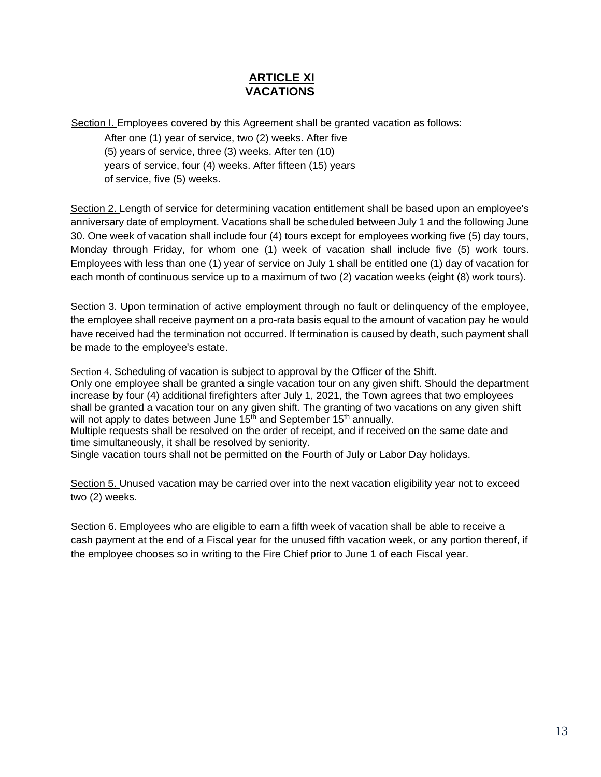## **ARTICLE XI VACATIONS**

Section I. Employees covered by this Agreement shall be granted vacation as follows:

After one (1) year of service, two (2) weeks. After five (5) years of service, three (3) weeks. After ten (10) years of service, four (4) weeks. After fifteen (15) years of service, five (5) weeks.

Section 2. Length of service for determining vacation entitlement shall be based upon an employee's anniversary date of employment. Vacations shall be scheduled between July 1 and the following June 30. One week of vacation shall include four (4) tours except for employees working five (5) day tours, Monday through Friday, for whom one (1) week of vacation shall include five (5) work tours. Employees with less than one (1) year of service on July 1 shall be entitled one (1) day of vacation for each month of continuous service up to a maximum of two (2) vacation weeks (eight (8) work tours).

Section 3. Upon termination of active employment through no fault or delinquency of the employee, the employee shall receive payment on a pro-rata basis equal to the amount of vacation pay he would have received had the termination not occurred. If termination is caused by death, such payment shall be made to the employee's estate.

Section 4. Scheduling of vacation is subject to approval by the Officer of the Shift. Only one employee shall be granted a single vacation tour on any given shift. Should the department increase by four (4) additional firefighters after July 1, 2021, the Town agrees that two employees shall be granted a vacation tour on any given shift. The granting of two vacations on any given shift will not apply to dates between June  $15<sup>th</sup>$  and September  $15<sup>th</sup>$  annually. Multiple requests shall be resolved on the order of receipt, and if received on the same date and time simultaneously, it shall be resolved by seniority.

Single vacation tours shall not be permitted on the Fourth of July or Labor Day holidays.

Section 5. Unused vacation may be carried over into the next vacation eligibility year not to exceed two (2) weeks.

Section 6. Employees who are eligible to earn a fifth week of vacation shall be able to receive a cash payment at the end of a Fiscal year for the unused fifth vacation week, or any portion thereof, if the employee chooses so in writing to the Fire Chief prior to June 1 of each Fiscal year.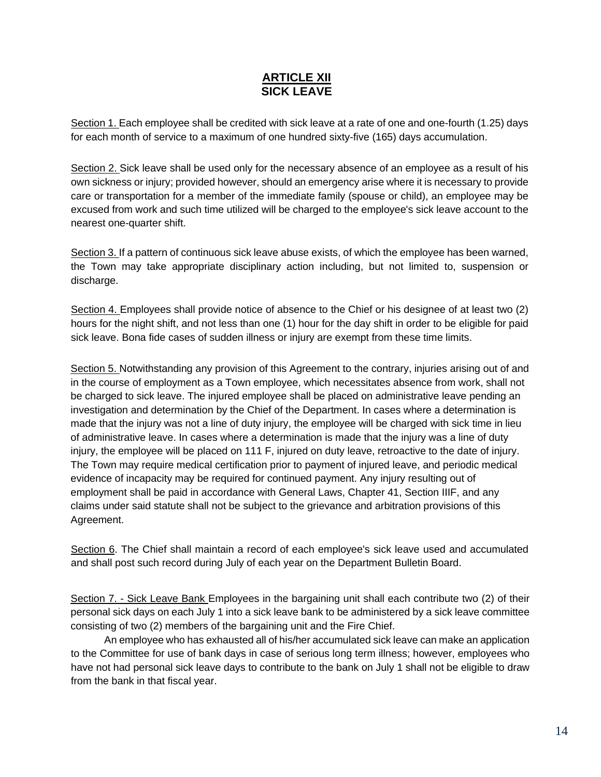## **ARTICLE XII SICK LEAVE**

Section 1. Each employee shall be credited with sick leave at a rate of one and one-fourth (1.25) days for each month of service to a maximum of one hundred sixty-five (165) days accumulation.

Section 2. Sick leave shall be used only for the necessary absence of an employee as a result of his own sickness or injury; provided however, should an emergency arise where it is necessary to provide care or transportation for a member of the immediate family (spouse or child), an employee may be excused from work and such time utilized will be charged to the employee's sick leave account to the nearest one-quarter shift.

Section 3. If a pattern of continuous sick leave abuse exists, of which the employee has been warned, the Town may take appropriate disciplinary action including, but not limited to, suspension or discharge.

Section 4. Employees shall provide notice of absence to the Chief or his designee of at least two (2) hours for the night shift, and not less than one (1) hour for the day shift in order to be eligible for paid sick leave. Bona fide cases of sudden illness or injury are exempt from these time limits.

Section 5. Notwithstanding any provision of this Agreement to the contrary, injuries arising out of and in the course of employment as a Town employee, which necessitates absence from work, shall not be charged to sick leave. The injured employee shall be placed on administrative leave pending an investigation and determination by the Chief of the Department. In cases where a determination is made that the injury was not a line of duty injury, the employee will be charged with sick time in lieu of administrative leave. In cases where a determination is made that the injury was a line of duty injury, the employee will be placed on 111 F, injured on duty leave, retroactive to the date of injury. The Town may require medical certification prior to payment of injured leave, and periodic medical evidence of incapacity may be required for continued payment. Any injury resulting out of employment shall be paid in accordance with General Laws, Chapter 41, Section IIIF, and any claims under said statute shall not be subject to the grievance and arbitration provisions of this Agreement.

Section 6. The Chief shall maintain a record of each employee's sick leave used and accumulated and shall post such record during July of each year on the Department Bulletin Board.

Section 7. - Sick Leave Bank Employees in the bargaining unit shall each contribute two (2) of their personal sick days on each July 1 into a sick leave bank to be administered by a sick leave committee consisting of two (2) members of the bargaining unit and the Fire Chief.

An employee who has exhausted all of his/her accumulated sick leave can make an application to the Committee for use of bank days in case of serious long term illness; however, employees who have not had personal sick leave days to contribute to the bank on July 1 shall not be eligible to draw from the bank in that fiscal year.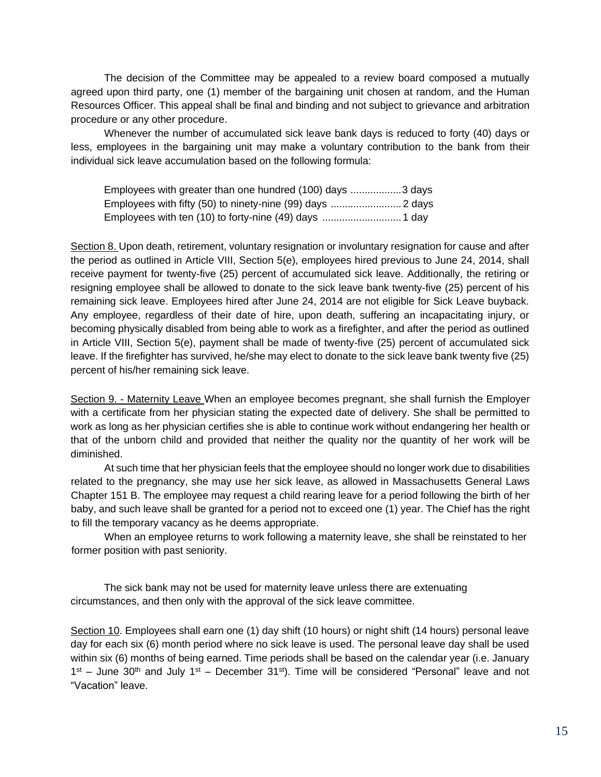The decision of the Committee may be appealed to a review board composed a mutually agreed upon third party, one (1) member of the bargaining unit chosen at random, and the Human Resources Officer. This appeal shall be final and binding and not subject to grievance and arbitration procedure or any other procedure.

Whenever the number of accumulated sick leave bank days is reduced to forty (40) days or less, employees in the bargaining unit may make a voluntary contribution to the bank from their individual sick leave accumulation based on the following formula:

| Employees with greater than one hundred (100) days 3 days |  |
|-----------------------------------------------------------|--|
|                                                           |  |
|                                                           |  |

Section 8. Upon death, retirement, voluntary resignation or involuntary resignation for cause and after the period as outlined in Article VIII, Section 5(e), employees hired previous to June 24, 2014, shall receive payment for twenty-five (25) percent of accumulated sick leave. Additionally, the retiring or resigning employee shall be allowed to donate to the sick leave bank twenty-five (25) percent of his remaining sick leave. Employees hired after June 24, 2014 are not eligible for Sick Leave buyback. Any employee, regardless of their date of hire, upon death, suffering an incapacitating injury, or becoming physically disabled from being able to work as a firefighter, and after the period as outlined in Article VIII, Section 5(e), payment shall be made of twenty-five (25) percent of accumulated sick leave. If the firefighter has survived, he/she may elect to donate to the sick leave bank twenty five (25) percent of his/her remaining sick leave.

Section 9. - Maternity Leave When an employee becomes pregnant, she shall furnish the Employer with a certificate from her physician stating the expected date of delivery. She shall be permitted to work as long as her physician certifies she is able to continue work without endangering her health or that of the unborn child and provided that neither the quality nor the quantity of her work will be diminished.

At such time that her physician feels that the employee should no longer work due to disabilities related to the pregnancy, she may use her sick leave, as allowed in Massachusetts General Laws Chapter 151 B. The employee may request a child rearing leave for a period following the birth of her baby, and such leave shall be granted for a period not to exceed one (1) year. The Chief has the right to fill the temporary vacancy as he deems appropriate.

When an employee returns to work following a maternity leave, she shall be reinstated to her former position with past seniority.

The sick bank may not be used for maternity leave unless there are extenuating circumstances, and then only with the approval of the sick leave committee.

Section 10. Employees shall earn one (1) day shift (10 hours) or night shift (14 hours) personal leave day for each six (6) month period where no sick leave is used. The personal leave day shall be used within six (6) months of being earned. Time periods shall be based on the calendar year (i.e. January  $1<sup>st</sup>$  – June 30<sup>th</sup> and July  $1<sup>st</sup>$  – December 31<sup>st</sup>). Time will be considered "Personal" leave and not "Vacation" leave.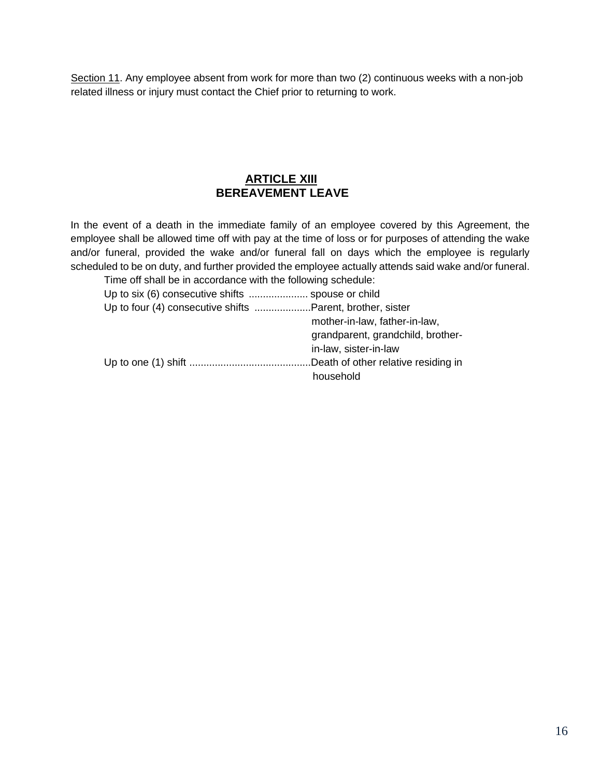Section 11. Any employee absent from work for more than two (2) continuous weeks with a non-job related illness or injury must contact the Chief prior to returning to work.

## **ARTICLE XIII BEREAVEMENT LEAVE**

In the event of a death in the immediate family of an employee covered by this Agreement, the employee shall be allowed time off with pay at the time of loss or for purposes of attending the wake and/or funeral, provided the wake and/or funeral fall on days which the employee is regularly scheduled to be on duty, and further provided the employee actually attends said wake and/or funeral.

| Time off shall be in accordance with the following schedule: |                                   |
|--------------------------------------------------------------|-----------------------------------|
|                                                              |                                   |
| Up to four (4) consecutive shifts Parent, brother, sister    |                                   |
|                                                              | mother-in-law, father-in-law,     |
|                                                              | grandparent, grandchild, brother- |
| in-law, sister-in-law                                        |                                   |
|                                                              |                                   |
| household                                                    |                                   |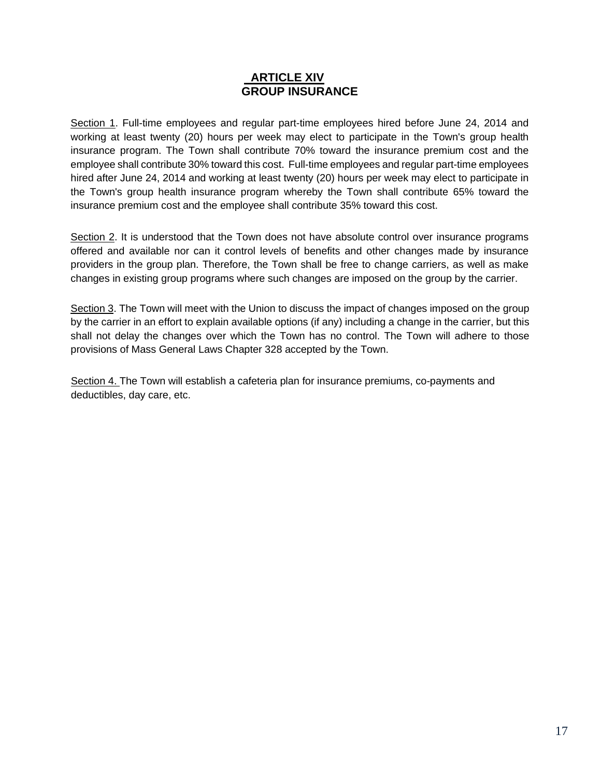### **ARTICLE XIV GROUP INSURANCE**

Section 1. Full-time employees and regular part-time employees hired before June 24, 2014 and working at least twenty (20) hours per week may elect to participate in the Town's group health insurance program. The Town shall contribute 70% toward the insurance premium cost and the employee shall contribute 30% toward this cost. Full-time employees and regular part-time employees hired after June 24, 2014 and working at least twenty (20) hours per week may elect to participate in the Town's group health insurance program whereby the Town shall contribute 65% toward the insurance premium cost and the employee shall contribute 35% toward this cost.

Section 2. It is understood that the Town does not have absolute control over insurance programs offered and available nor can it control levels of benefits and other changes made by insurance providers in the group plan. Therefore, the Town shall be free to change carriers, as well as make changes in existing group programs where such changes are imposed on the group by the carrier.

Section 3. The Town will meet with the Union to discuss the impact of changes imposed on the group by the carrier in an effort to explain available options (if any) including a change in the carrier, but this shall not delay the changes over which the Town has no control. The Town will adhere to those provisions of Mass General Laws Chapter 328 accepted by the Town.

Section 4. The Town will establish a cafeteria plan for insurance premiums, co-payments and deductibles, day care, etc.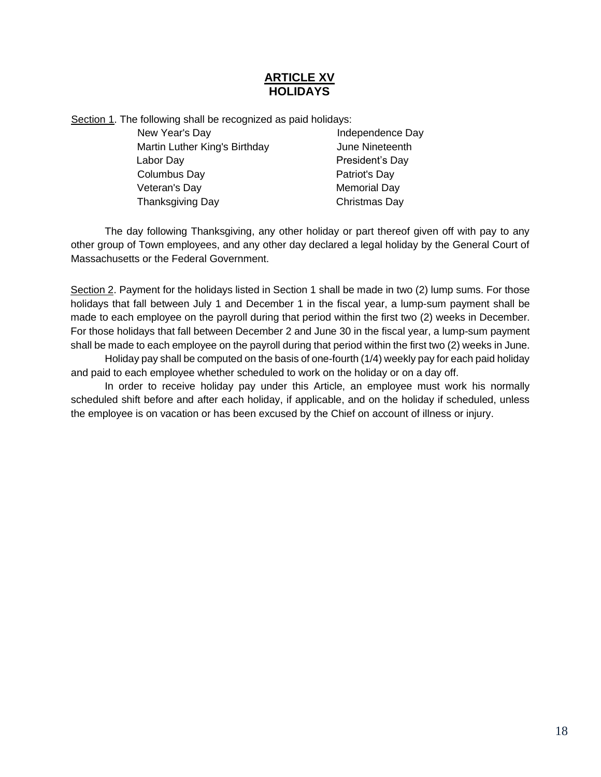## **ARTICLE XV HOLIDAYS**

Section 1. The following shall be recognized as paid holidays:

New Year's Day **Independence Day** Martin Luther King's Birthday **June Nineteenth** Labor Day **President's Day** Columbus Day Patriot's Day Veteran's Day **Memorial Day** Thanksgiving Day Christmas Day

The day following Thanksgiving, any other holiday or part thereof given off with pay to any other group of Town employees, and any other day declared a legal holiday by the General Court of Massachusetts or the Federal Government.

Section 2. Payment for the holidays listed in Section 1 shall be made in two (2) lump sums. For those holidays that fall between July 1 and December 1 in the fiscal year, a lump-sum payment shall be made to each employee on the payroll during that period within the first two (2) weeks in December. For those holidays that fall between December 2 and June 30 in the fiscal year, a lump-sum payment shall be made to each employee on the payroll during that period within the first two (2) weeks in June.

Holiday pay shall be computed on the basis of one-fourth (1/4) weekly pay for each paid holiday and paid to each employee whether scheduled to work on the holiday or on a day off.

In order to receive holiday pay under this Article, an employee must work his normally scheduled shift before and after each holiday, if applicable, and on the holiday if scheduled, unless the employee is on vacation or has been excused by the Chief on account of illness or injury.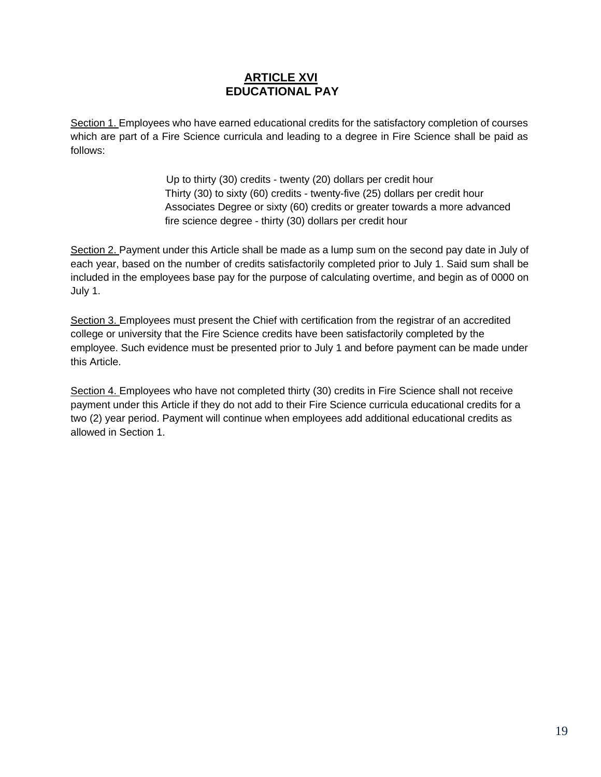## **ARTICLE XVI EDUCATIONAL PAY**

Section 1. Employees who have earned educational credits for the satisfactory completion of courses which are part of a Fire Science curricula and leading to a degree in Fire Science shall be paid as follows:

> Up to thirty (30) credits - twenty (20) dollars per credit hour Thirty (30) to sixty (60) credits - twenty-five (25) dollars per credit hour Associates Degree or sixty (60) credits or greater towards a more advanced fire science degree - thirty (30) dollars per credit hour

Section 2. Payment under this Article shall be made as a lump sum on the second pay date in July of each year, based on the number of credits satisfactorily completed prior to July 1. Said sum shall be included in the employees base pay for the purpose of calculating overtime, and begin as of 0000 on July 1.

Section 3. Employees must present the Chief with certification from the registrar of an accredited college or university that the Fire Science credits have been satisfactorily completed by the employee. Such evidence must be presented prior to July 1 and before payment can be made under this Article.

Section 4. Employees who have not completed thirty (30) credits in Fire Science shall not receive payment under this Article if they do not add to their Fire Science curricula educational credits for a two (2) year period. Payment will continue when employees add additional educational credits as allowed in Section 1.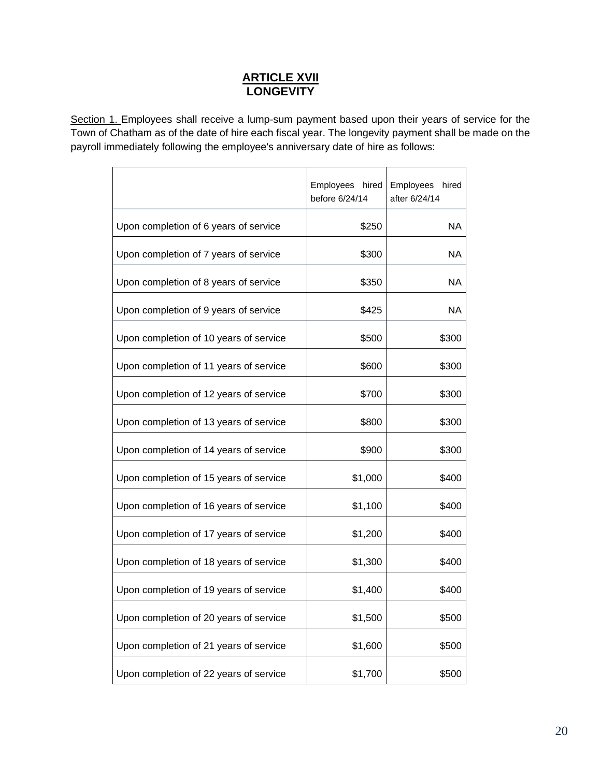## **ARTICLE XVII LONGEVITY**

Section 1. Employees shall receive a lump-sum payment based upon their years of service for the Town of Chatham as of the date of hire each fiscal year. The longevity payment shall be made on the payroll immediately following the employee's anniversary date of hire as follows:

|                                        | Employees hired<br>before 6/24/14 | Employees<br>hired<br>after 6/24/14 |
|----------------------------------------|-----------------------------------|-------------------------------------|
| Upon completion of 6 years of service  | \$250                             | NA                                  |
| Upon completion of 7 years of service  | \$300                             | NA                                  |
| Upon completion of 8 years of service  | \$350                             | NA                                  |
| Upon completion of 9 years of service  | \$425                             | <b>NA</b>                           |
| Upon completion of 10 years of service | \$500                             | \$300                               |
| Upon completion of 11 years of service | \$600                             | \$300                               |
| Upon completion of 12 years of service | \$700                             | \$300                               |
| Upon completion of 13 years of service | \$800                             | \$300                               |
| Upon completion of 14 years of service | \$900                             | \$300                               |
| Upon completion of 15 years of service | \$1,000                           | \$400                               |
| Upon completion of 16 years of service | \$1,100                           | \$400                               |
| Upon completion of 17 years of service | \$1,200                           | \$400                               |
| Upon completion of 18 years of service | \$1,300                           | \$400                               |
| Upon completion of 19 years of service | \$1,400                           | \$400                               |
| Upon completion of 20 years of service | \$1,500                           | \$500                               |
| Upon completion of 21 years of service | \$1,600                           | \$500                               |
| Upon completion of 22 years of service | \$1,700                           | \$500                               |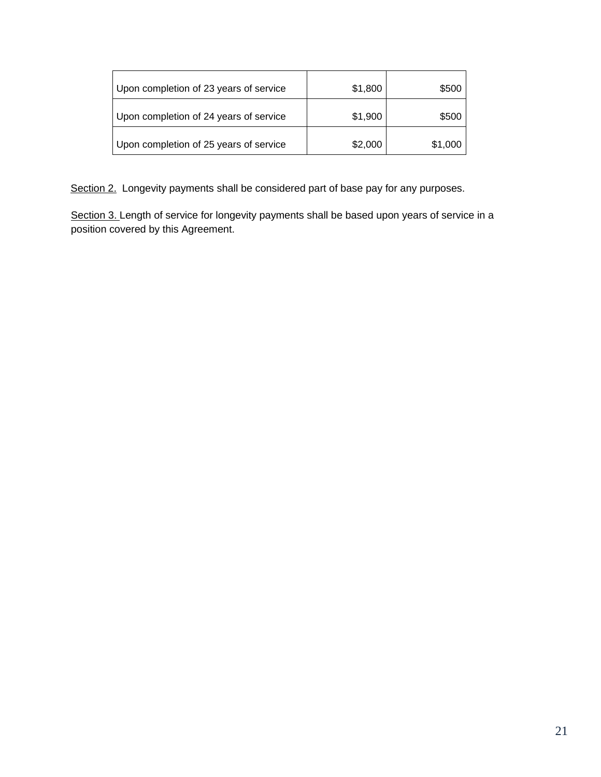| Upon completion of 23 years of service | \$1,800 | \$500   |
|----------------------------------------|---------|---------|
| Upon completion of 24 years of service | \$1,900 | \$500   |
| Upon completion of 25 years of service | \$2,000 | \$1,000 |

Section 2. Longevity payments shall be considered part of base pay for any purposes.

Section 3. Length of service for longevity payments shall be based upon years of service in a position covered by this Agreement.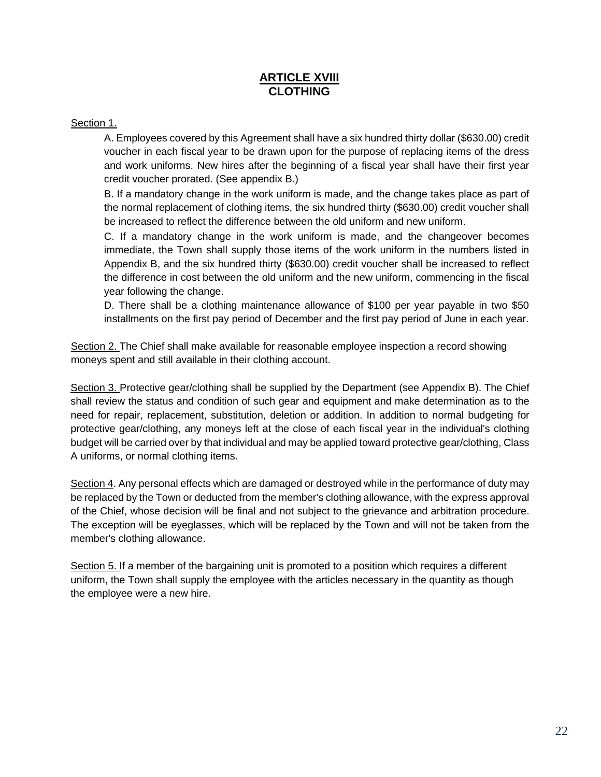## **ARTICLE XVIII CLOTHING**

#### Section 1.

A. Employees covered by this Agreement shall have a six hundred thirty dollar (\$630.00) credit voucher in each fiscal year to be drawn upon for the purpose of replacing items of the dress and work uniforms. New hires after the beginning of a fiscal year shall have their first year credit voucher prorated. (See appendix B.)

B. If a mandatory change in the work uniform is made, and the change takes place as part of the normal replacement of clothing items, the six hundred thirty (\$630.00) credit voucher shall be increased to reflect the difference between the old uniform and new uniform.

C. If a mandatory change in the work uniform is made, and the changeover becomes immediate, the Town shall supply those items of the work uniform in the numbers listed in Appendix B, and the six hundred thirty (\$630.00) credit voucher shall be increased to reflect the difference in cost between the old uniform and the new uniform, commencing in the fiscal year following the change.

D. There shall be a clothing maintenance allowance of \$100 per year payable in two \$50 installments on the first pay period of December and the first pay period of June in each year.

Section 2. The Chief shall make available for reasonable employee inspection a record showing moneys spent and still available in their clothing account.

Section 3. Protective gear/clothing shall be supplied by the Department (see Appendix B). The Chief shall review the status and condition of such gear and equipment and make determination as to the need for repair, replacement, substitution, deletion or addition. In addition to normal budgeting for protective gear/clothing, any moneys left at the close of each fiscal year in the individual's clothing budget will be carried over by that individual and may be applied toward protective gear/clothing, Class A uniforms, or normal clothing items.

Section 4. Any personal effects which are damaged or destroyed while in the performance of duty may be replaced by the Town or deducted from the member's clothing allowance, with the express approval of the Chief, whose decision will be final and not subject to the grievance and arbitration procedure. The exception will be eyeglasses, which will be replaced by the Town and will not be taken from the member's clothing allowance.

Section 5. If a member of the bargaining unit is promoted to a position which requires a different uniform, the Town shall supply the employee with the articles necessary in the quantity as though the employee were a new hire.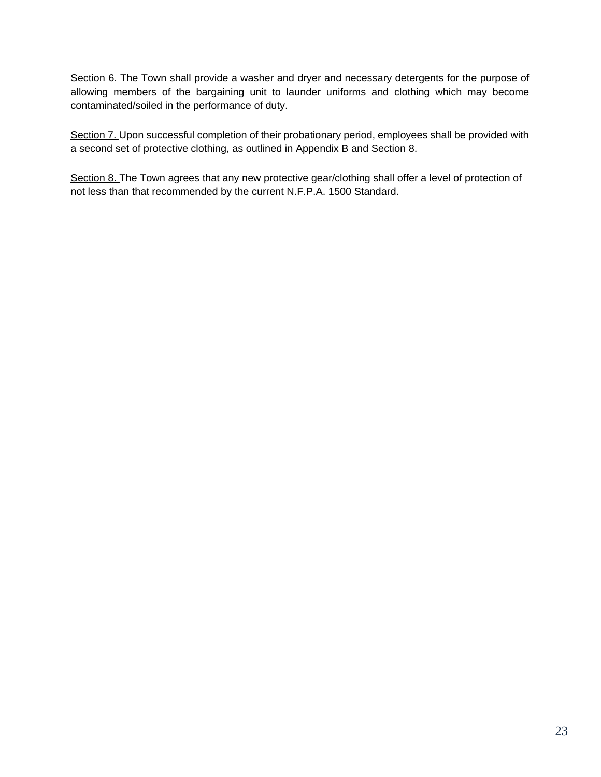Section 6. The Town shall provide a washer and dryer and necessary detergents for the purpose of allowing members of the bargaining unit to launder uniforms and clothing which may become contaminated/soiled in the performance of duty.

Section 7. Upon successful completion of their probationary period, employees shall be provided with a second set of protective clothing, as outlined in Appendix B and Section 8.

Section 8. The Town agrees that any new protective gear/clothing shall offer a level of protection of not less than that recommended by the current N.F.P.A. 1500 Standard.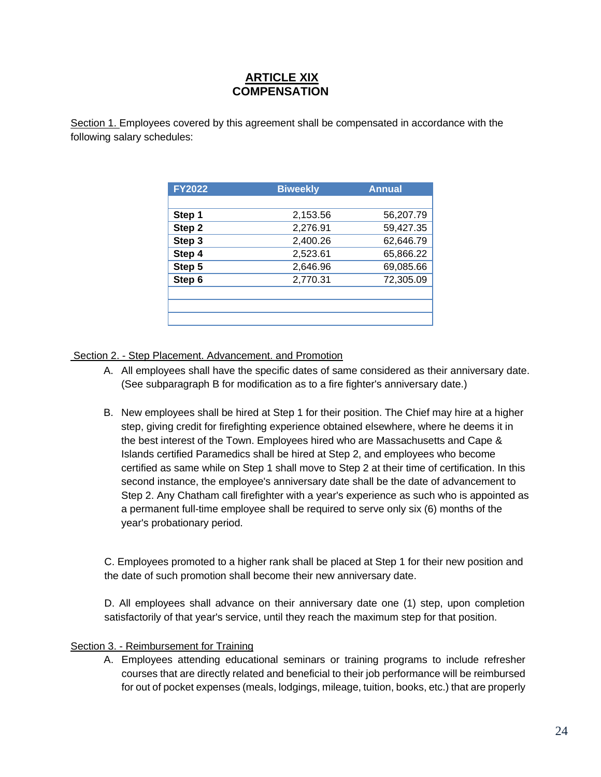## **ARTICLE XIX COMPENSATION**

Section 1. Employees covered by this agreement shall be compensated in accordance with the following salary schedules:

| <b>FY2022</b> | <b>Biweekly</b> | <b>Annual</b> |
|---------------|-----------------|---------------|
|               |                 |               |
| Step 1        | 2,153.56        | 56,207.79     |
| Step 2        | 2,276.91        | 59,427.35     |
| Step 3        | 2,400.26        | 62,646.79     |
| Step 4        | 2,523.61        | 65,866.22     |
| Step 5        | 2,646.96        | 69,085.66     |
| Step 6        | 2,770.31        | 72,305.09     |
|               |                 |               |
|               |                 |               |
|               |                 |               |

Section 2. - Step Placement. Advancement. and Promotion

- A. All employees shall have the specific dates of same considered as their anniversary date. (See subparagraph B for modification as to a fire fighter's anniversary date.)
- B. New employees shall be hired at Step 1 for their position. The Chief may hire at a higher step, giving credit for firefighting experience obtained elsewhere, where he deems it in the best interest of the Town. Employees hired who are Massachusetts and Cape & Islands certified Paramedics shall be hired at Step 2, and employees who become certified as same while on Step 1 shall move to Step 2 at their time of certification. In this second instance, the employee's anniversary date shall be the date of advancement to Step 2. Any Chatham call firefighter with a year's experience as such who is appointed as a permanent full-time employee shall be required to serve only six (6) months of the year's probationary period.

C. Employees promoted to a higher rank shall be placed at Step 1 for their new position and the date of such promotion shall become their new anniversary date.

D. All employees shall advance on their anniversary date one (1) step, upon completion satisfactorily of that year's service, until they reach the maximum step for that position.

#### Section 3. - Reimbursement for Training

A. Employees attending educational seminars or training programs to include refresher courses that are directly related and beneficial to their job performance will be reimbursed for out of pocket expenses (meals, lodgings, mileage, tuition, books, etc.) that are properly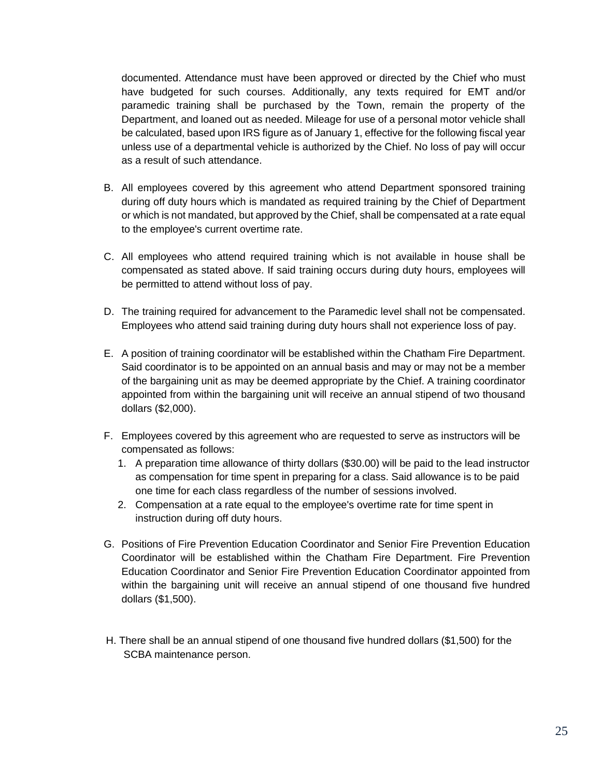documented. Attendance must have been approved or directed by the Chief who must have budgeted for such courses. Additionally, any texts required for EMT and/or paramedic training shall be purchased by the Town, remain the property of the Department, and loaned out as needed. Mileage for use of a personal motor vehicle shall be calculated, based upon IRS figure as of January 1, effective for the following fiscal year unless use of a departmental vehicle is authorized by the Chief. No loss of pay will occur as a result of such attendance.

- B. All employees covered by this agreement who attend Department sponsored training during off duty hours which is mandated as required training by the Chief of Department or which is not mandated, but approved by the Chief, shall be compensated at a rate equal to the employee's current overtime rate.
- C. All employees who attend required training which is not available in house shall be compensated as stated above. If said training occurs during duty hours, employees will be permitted to attend without loss of pay.
- D. The training required for advancement to the Paramedic level shall not be compensated. Employees who attend said training during duty hours shall not experience loss of pay.
- E. A position of training coordinator will be established within the Chatham Fire Department. Said coordinator is to be appointed on an annual basis and may or may not be a member of the bargaining unit as may be deemed appropriate by the Chief. A training coordinator appointed from within the bargaining unit will receive an annual stipend of two thousand dollars (\$2,000).
- F. Employees covered by this agreement who are requested to serve as instructors will be compensated as follows:
	- 1. A preparation time allowance of thirty dollars (\$30.00) will be paid to the lead instructor as compensation for time spent in preparing for a class. Said allowance is to be paid one time for each class regardless of the number of sessions involved.
	- 2. Compensation at a rate equal to the employee's overtime rate for time spent in instruction during off duty hours.
- G. Positions of Fire Prevention Education Coordinator and Senior Fire Prevention Education Coordinator will be established within the Chatham Fire Department. Fire Prevention Education Coordinator and Senior Fire Prevention Education Coordinator appointed from within the bargaining unit will receive an annual stipend of one thousand five hundred dollars (\$1,500).
- H. There shall be an annual stipend of one thousand five hundred dollars (\$1,500) for the SCBA maintenance person.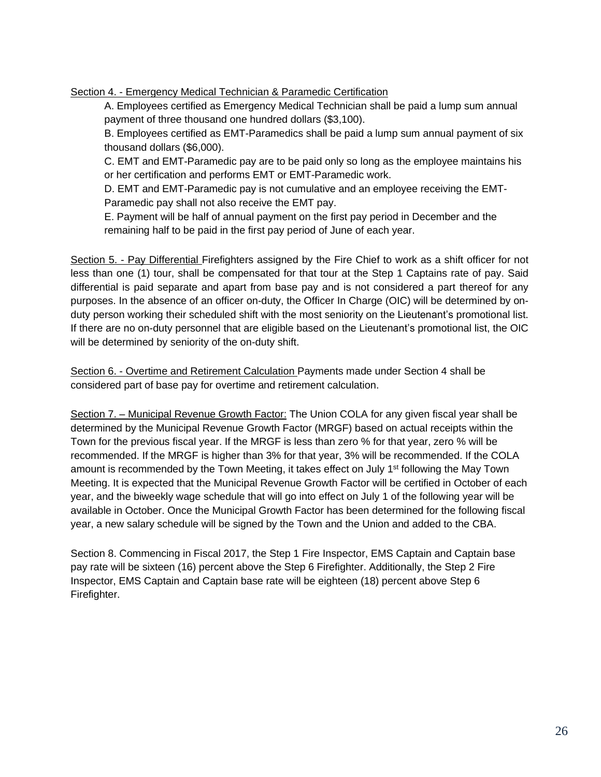Section 4. - Emergency Medical Technician & Paramedic Certification

A. Employees certified as Emergency Medical Technician shall be paid a lump sum annual payment of three thousand one hundred dollars (\$3,100).

B. Employees certified as EMT-Paramedics shall be paid a lump sum annual payment of six thousand dollars (\$6,000).

C. EMT and EMT-Paramedic pay are to be paid only so long as the employee maintains his or her certification and performs EMT or EMT-Paramedic work.

D. EMT and EMT-Paramedic pay is not cumulative and an employee receiving the EMT-Paramedic pay shall not also receive the EMT pay.

E. Payment will be half of annual payment on the first pay period in December and the remaining half to be paid in the first pay period of June of each year.

Section 5. - Pay Differential Firefighters assigned by the Fire Chief to work as a shift officer for not less than one (1) tour, shall be compensated for that tour at the Step 1 Captains rate of pay. Said differential is paid separate and apart from base pay and is not considered a part thereof for any purposes. In the absence of an officer on-duty, the Officer In Charge (OIC) will be determined by onduty person working their scheduled shift with the most seniority on the Lieutenant's promotional list. If there are no on-duty personnel that are eligible based on the Lieutenant's promotional list, the OIC will be determined by seniority of the on-duty shift.

Section 6. - Overtime and Retirement Calculation Payments made under Section 4 shall be considered part of base pay for overtime and retirement calculation.

Section 7. – Municipal Revenue Growth Factor: The Union COLA for any given fiscal year shall be determined by the Municipal Revenue Growth Factor (MRGF) based on actual receipts within the Town for the previous fiscal year. If the MRGF is less than zero % for that year, zero % will be recommended. If the MRGF is higher than 3% for that year, 3% will be recommended. If the COLA amount is recommended by the Town Meeting, it takes effect on July 1<sup>st</sup> following the May Town Meeting. It is expected that the Municipal Revenue Growth Factor will be certified in October of each year, and the biweekly wage schedule that will go into effect on July 1 of the following year will be available in October. Once the Municipal Growth Factor has been determined for the following fiscal year, a new salary schedule will be signed by the Town and the Union and added to the CBA.

Section 8. Commencing in Fiscal 2017, the Step 1 Fire Inspector, EMS Captain and Captain base pay rate will be sixteen (16) percent above the Step 6 Firefighter. Additionally, the Step 2 Fire Inspector, EMS Captain and Captain base rate will be eighteen (18) percent above Step 6 Firefighter.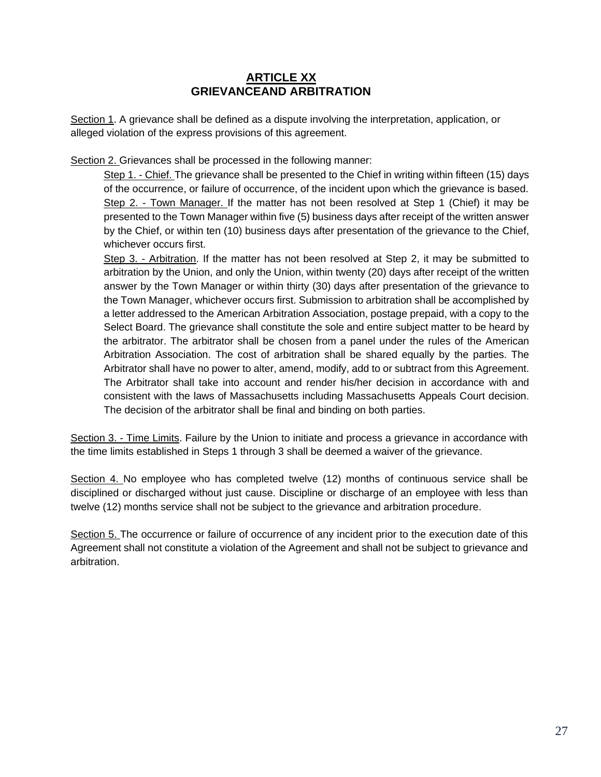## **ARTICLE XX GRIEVANCEAND ARBITRATION**

Section 1. A grievance shall be defined as a dispute involving the interpretation, application, or alleged violation of the express provisions of this agreement.

Section 2. Grievances shall be processed in the following manner:

Step 1. - Chief. The grievance shall be presented to the Chief in writing within fifteen (15) days of the occurrence, or failure of occurrence, of the incident upon which the grievance is based. Step 2. - Town Manager. If the matter has not been resolved at Step 1 (Chief) it may be presented to the Town Manager within five (5) business days after receipt of the written answer by the Chief, or within ten (10) business days after presentation of the grievance to the Chief, whichever occurs first.

Step 3. - Arbitration. If the matter has not been resolved at Step 2, it may be submitted to arbitration by the Union, and only the Union, within twenty (20) days after receipt of the written answer by the Town Manager or within thirty (30) days after presentation of the grievance to the Town Manager, whichever occurs first. Submission to arbitration shall be accomplished by a letter addressed to the American Arbitration Association, postage prepaid, with a copy to the Select Board. The grievance shall constitute the sole and entire subject matter to be heard by the arbitrator. The arbitrator shall be chosen from a panel under the rules of the American Arbitration Association. The cost of arbitration shall be shared equally by the parties. The Arbitrator shall have no power to alter, amend, modify, add to or subtract from this Agreement. The Arbitrator shall take into account and render his/her decision in accordance with and consistent with the laws of Massachusetts including Massachusetts Appeals Court decision. The decision of the arbitrator shall be final and binding on both parties.

Section 3. - Time Limits. Failure by the Union to initiate and process a grievance in accordance with the time limits established in Steps 1 through 3 shall be deemed a waiver of the grievance.

Section 4. No employee who has completed twelve (12) months of continuous service shall be disciplined or discharged without just cause. Discipline or discharge of an employee with less than twelve (12) months service shall not be subject to the grievance and arbitration procedure.

Section 5. The occurrence or failure of occurrence of any incident prior to the execution date of this Agreement shall not constitute a violation of the Agreement and shall not be subject to grievance and arbitration.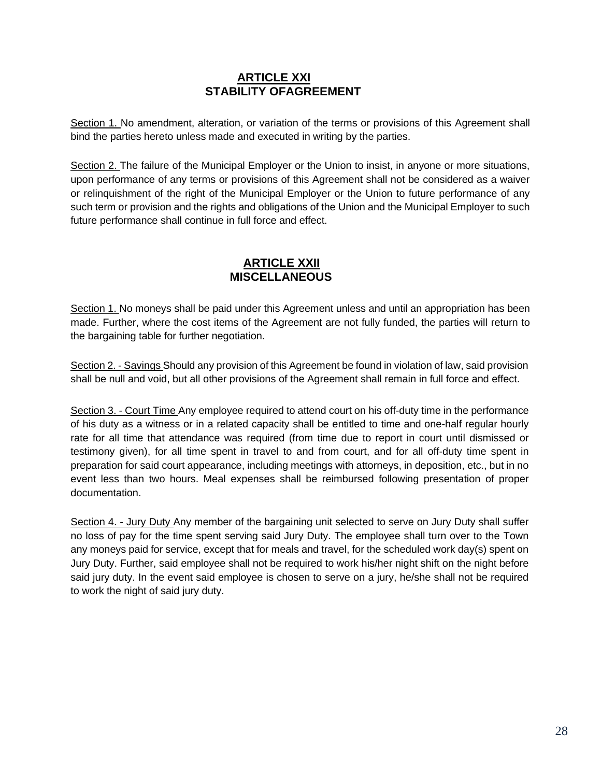## **ARTICLE XXI STABILITY OFAGREEMENT**

Section 1. No amendment, alteration, or variation of the terms or provisions of this Agreement shall bind the parties hereto unless made and executed in writing by the parties.

Section 2. The failure of the Municipal Employer or the Union to insist, in anyone or more situations, upon performance of any terms or provisions of this Agreement shall not be considered as a waiver or relinquishment of the right of the Municipal Employer or the Union to future performance of any such term or provision and the rights and obligations of the Union and the Municipal Employer to such future performance shall continue in full force and effect.

## **ARTICLE XXII MISCELLANEOUS**

Section 1. No moneys shall be paid under this Agreement unless and until an appropriation has been made. Further, where the cost items of the Agreement are not fully funded, the parties will return to the bargaining table for further negotiation.

Section 2. - Savings Should any provision of this Agreement be found in violation of law, said provision shall be null and void, but all other provisions of the Agreement shall remain in full force and effect.

Section 3. - Court Time Any employee required to attend court on his off-duty time in the performance of his duty as a witness or in a related capacity shall be entitled to time and one-half regular hourly rate for all time that attendance was required (from time due to report in court until dismissed or testimony given), for all time spent in travel to and from court, and for all off-duty time spent in preparation for said court appearance, including meetings with attorneys, in deposition, etc., but in no event less than two hours. Meal expenses shall be reimbursed following presentation of proper documentation.

Section 4. - Jury Duty Any member of the bargaining unit selected to serve on Jury Duty shall suffer no loss of pay for the time spent serving said Jury Duty. The employee shall turn over to the Town any moneys paid for service, except that for meals and travel, for the scheduled work day(s) spent on Jury Duty. Further, said employee shall not be required to work his/her night shift on the night before said jury duty. In the event said employee is chosen to serve on a jury, he/she shall not be required to work the night of said jury duty.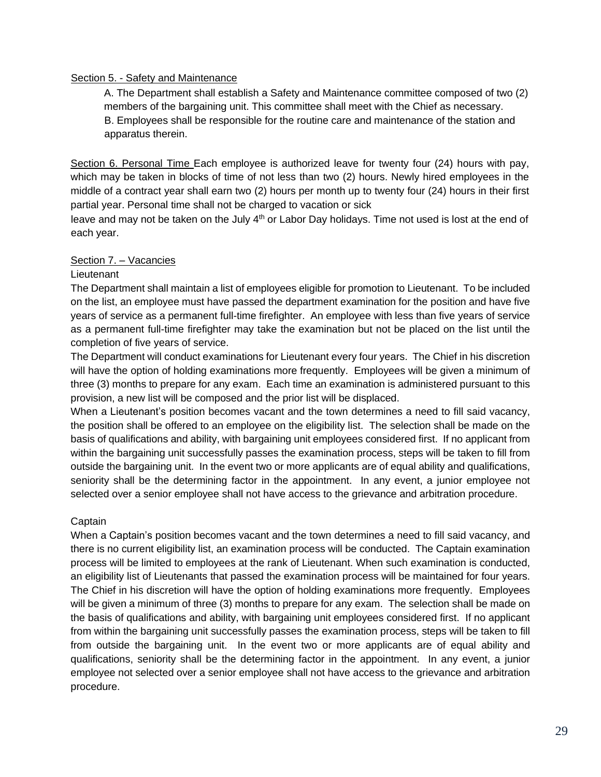#### Section 5. - Safety and Maintenance

A. The Department shall establish a Safety and Maintenance committee composed of two (2) members of the bargaining unit. This committee shall meet with the Chief as necessary. B. Employees shall be responsible for the routine care and maintenance of the station and apparatus therein.

Section 6. Personal Time Each employee is authorized leave for twenty four (24) hours with pay, which may be taken in blocks of time of not less than two (2) hours. Newly hired employees in the middle of a contract year shall earn two (2) hours per month up to twenty four (24) hours in their first partial year. Personal time shall not be charged to vacation or sick

leave and may not be taken on the July  $4<sup>th</sup>$  or Labor Day holidays. Time not used is lost at the end of each year.

#### Section 7. – Vacancies

#### **Lieutenant**

The Department shall maintain a list of employees eligible for promotion to Lieutenant. To be included on the list, an employee must have passed the department examination for the position and have five years of service as a permanent full-time firefighter. An employee with less than five years of service as a permanent full-time firefighter may take the examination but not be placed on the list until the completion of five years of service.

The Department will conduct examinations for Lieutenant every four years. The Chief in his discretion will have the option of holding examinations more frequently. Employees will be given a minimum of three (3) months to prepare for any exam. Each time an examination is administered pursuant to this provision, a new list will be composed and the prior list will be displaced.

When a Lieutenant's position becomes vacant and the town determines a need to fill said vacancy, the position shall be offered to an employee on the eligibility list. The selection shall be made on the basis of qualifications and ability, with bargaining unit employees considered first. If no applicant from within the bargaining unit successfully passes the examination process, steps will be taken to fill from outside the bargaining unit. In the event two or more applicants are of equal ability and qualifications, seniority shall be the determining factor in the appointment. In any event, a junior employee not selected over a senior employee shall not have access to the grievance and arbitration procedure.

#### Captain

When a Captain's position becomes vacant and the town determines a need to fill said vacancy, and there is no current eligibility list, an examination process will be conducted. The Captain examination process will be limited to employees at the rank of Lieutenant. When such examination is conducted, an eligibility list of Lieutenants that passed the examination process will be maintained for four years. The Chief in his discretion will have the option of holding examinations more frequently. Employees will be given a minimum of three (3) months to prepare for any exam. The selection shall be made on the basis of qualifications and ability, with bargaining unit employees considered first. If no applicant from within the bargaining unit successfully passes the examination process, steps will be taken to fill from outside the bargaining unit. In the event two or more applicants are of equal ability and qualifications, seniority shall be the determining factor in the appointment. In any event, a junior employee not selected over a senior employee shall not have access to the grievance and arbitration procedure.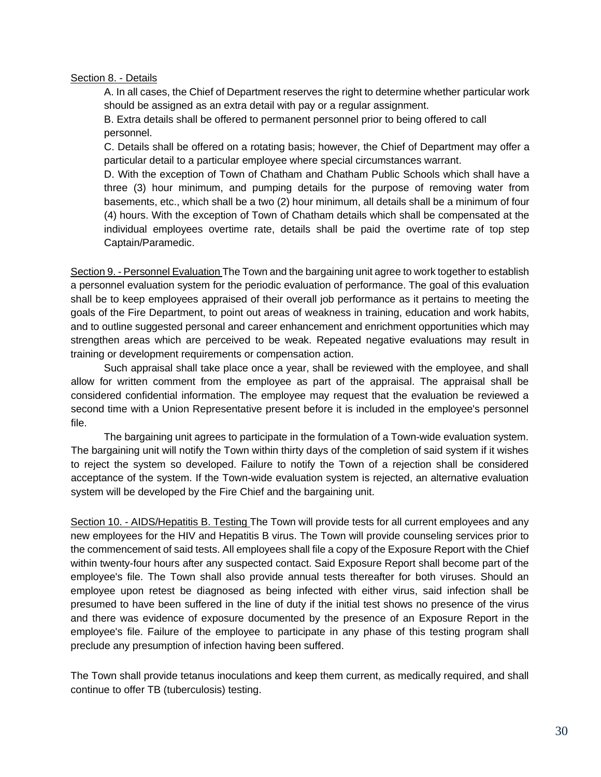#### Section 8. - Details

A. In all cases, the Chief of Department reserves the right to determine whether particular work should be assigned as an extra detail with pay or a regular assignment.

B. Extra details shall be offered to permanent personnel prior to being offered to call personnel.

C. Details shall be offered on a rotating basis; however, the Chief of Department may offer a particular detail to a particular employee where special circumstances warrant.

D. With the exception of Town of Chatham and Chatham Public Schools which shall have a three (3) hour minimum, and pumping details for the purpose of removing water from basements, etc., which shall be a two (2) hour minimum, all details shall be a minimum of four (4) hours. With the exception of Town of Chatham details which shall be compensated at the individual employees overtime rate, details shall be paid the overtime rate of top step Captain/Paramedic.

Section 9. - Personnel Evaluation The Town and the bargaining unit agree to work together to establish a personnel evaluation system for the periodic evaluation of performance. The goal of this evaluation shall be to keep employees appraised of their overall job performance as it pertains to meeting the goals of the Fire Department, to point out areas of weakness in training, education and work habits, and to outline suggested personal and career enhancement and enrichment opportunities which may strengthen areas which are perceived to be weak. Repeated negative evaluations may result in training or development requirements or compensation action.

Such appraisal shall take place once a year, shall be reviewed with the employee, and shall allow for written comment from the employee as part of the appraisal. The appraisal shall be considered confidential information. The employee may request that the evaluation be reviewed a second time with a Union Representative present before it is included in the employee's personnel file.

The bargaining unit agrees to participate in the formulation of a Town-wide evaluation system. The bargaining unit will notify the Town within thirty days of the completion of said system if it wishes to reject the system so developed. Failure to notify the Town of a rejection shall be considered acceptance of the system. If the Town-wide evaluation system is rejected, an alternative evaluation system will be developed by the Fire Chief and the bargaining unit.

Section 10. - AIDS/Hepatitis B. Testing The Town will provide tests for all current employees and any new employees for the HIV and Hepatitis B virus. The Town will provide counseling services prior to the commencement of said tests. All employees shall file a copy of the Exposure Report with the Chief within twenty-four hours after any suspected contact. Said Exposure Report shall become part of the employee's file. The Town shall also provide annual tests thereafter for both viruses. Should an employee upon retest be diagnosed as being infected with either virus, said infection shall be presumed to have been suffered in the line of duty if the initial test shows no presence of the virus and there was evidence of exposure documented by the presence of an Exposure Report in the employee's file. Failure of the employee to participate in any phase of this testing program shall preclude any presumption of infection having been suffered.

The Town shall provide tetanus inoculations and keep them current, as medically required, and shall continue to offer TB (tuberculosis) testing.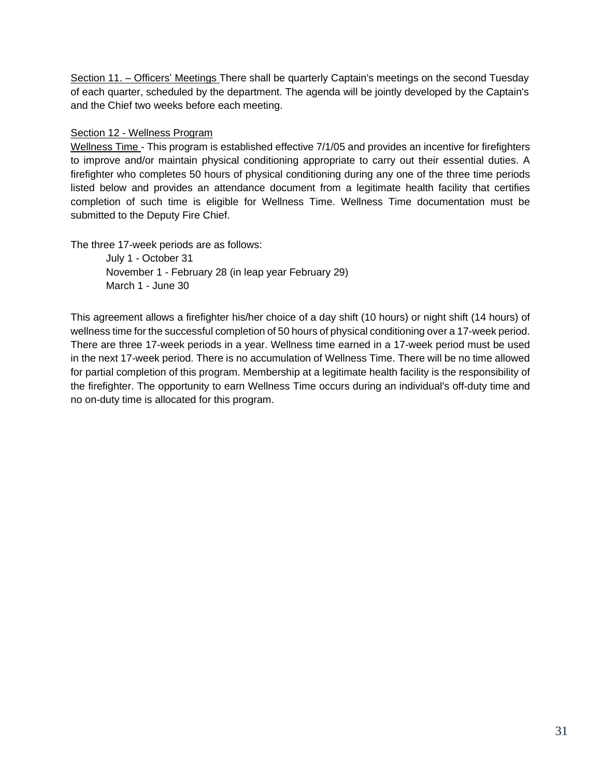Section 11. – Officers' Meetings There shall be quarterly Captain's meetings on the second Tuesday of each quarter, scheduled by the department. The agenda will be jointly developed by the Captain's and the Chief two weeks before each meeting.

#### Section 12 - Wellness Program

Wellness Time - This program is established effective 7/1/05 and provides an incentive for firefighters to improve and/or maintain physical conditioning appropriate to carry out their essential duties. A firefighter who completes 50 hours of physical conditioning during any one of the three time periods listed below and provides an attendance document from a legitimate health facility that certifies completion of such time is eligible for Wellness Time. Wellness Time documentation must be submitted to the Deputy Fire Chief.

The three 17-week periods are as follows:

July 1 - October 31 November 1 - February 28 (in leap year February 29) March 1 - June 30

This agreement allows a firefighter his/her choice of a day shift (10 hours) or night shift (14 hours) of wellness time for the successful completion of 50 hours of physical conditioning over a 17-week period. There are three 17-week periods in a year. Wellness time earned in a 17-week period must be used in the next 17-week period. There is no accumulation of Wellness Time. There will be no time allowed for partial completion of this program. Membership at a legitimate health facility is the responsibility of the firefighter. The opportunity to earn Wellness Time occurs during an individual's off-duty time and no on-duty time is allocated for this program.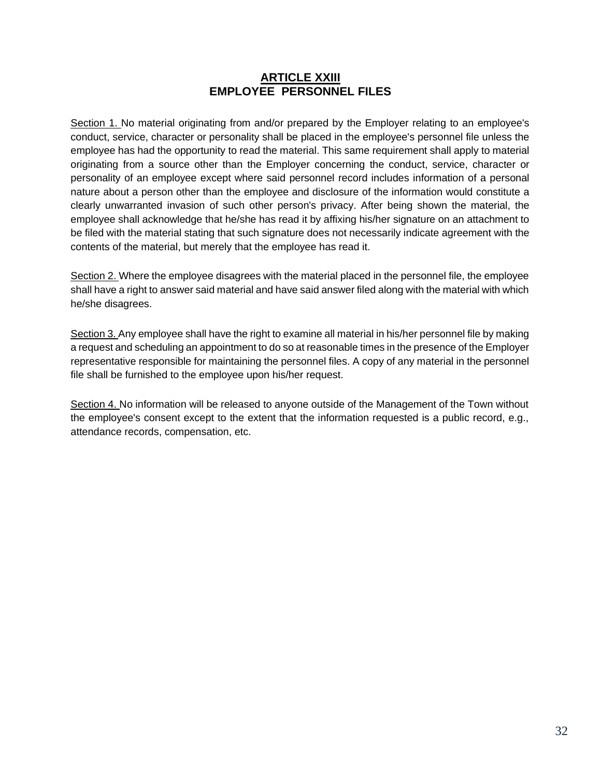## **ARTICLE XXIII EMPLOYEE PERSONNEL FILES**

Section 1. No material originating from and/or prepared by the Employer relating to an employee's conduct, service, character or personality shall be placed in the employee's personnel file unless the employee has had the opportunity to read the material. This same requirement shall apply to material originating from a source other than the Employer concerning the conduct, service, character or personality of an employee except where said personnel record includes information of a personal nature about a person other than the employee and disclosure of the information would constitute a clearly unwarranted invasion of such other person's privacy. After being shown the material, the employee shall acknowledge that he/she has read it by affixing his/her signature on an attachment to be filed with the material stating that such signature does not necessarily indicate agreement with the contents of the material, but merely that the employee has read it.

Section 2. Where the employee disagrees with the material placed in the personnel file, the employee shall have a right to answer said material and have said answer filed along with the material with which he/she disagrees.

Section 3. Any employee shall have the right to examine all material in his/her personnel file by making a request and scheduling an appointment to do so at reasonable times in the presence of the Employer representative responsible for maintaining the personnel files. A copy of any material in the personnel file shall be furnished to the employee upon his/her request.

Section 4. No information will be released to anyone outside of the Management of the Town without the employee's consent except to the extent that the information requested is a public record, e.g., attendance records, compensation, etc.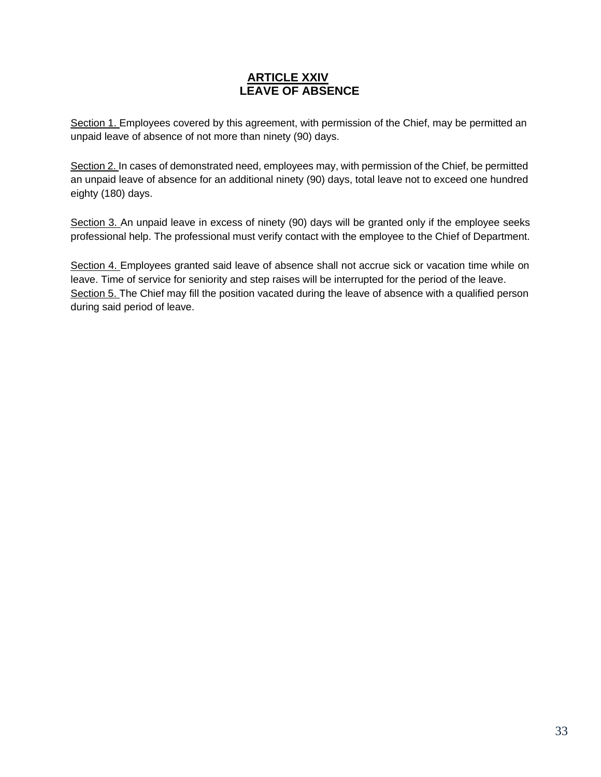## **ARTICLE XXIV LEAVE OF ABSENCE**

Section 1. Employees covered by this agreement, with permission of the Chief, may be permitted an unpaid leave of absence of not more than ninety (90) days.

Section 2. In cases of demonstrated need, employees may, with permission of the Chief, be permitted an unpaid leave of absence for an additional ninety (90) days, total leave not to exceed one hundred eighty (180) days.

Section 3. An unpaid leave in excess of ninety (90) days will be granted only if the employee seeks professional help. The professional must verify contact with the employee to the Chief of Department.

Section 4. Employees granted said leave of absence shall not accrue sick or vacation time while on leave. Time of service for seniority and step raises will be interrupted for the period of the leave. Section 5. The Chief may fill the position vacated during the leave of absence with a qualified person during said period of leave.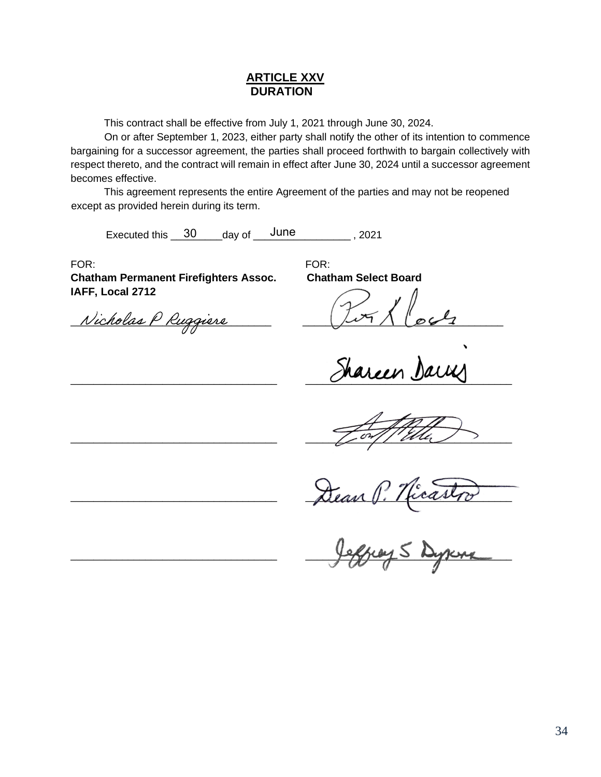### **ARTICLE XXV DURATION**

This contract shall be effective from July 1, 2021 through June 30, 2024.

On or after September 1, 2023, either party shall notify the other of its intention to commence bargaining for a successor agreement, the parties shall proceed forthwith to bargain collectively with respect thereto, and the contract will remain in effect after June 30, 2024 until a successor agreement becomes effective.

This agreement represents the entire Agreement of the parties and may not be reopened except as provided herein during its term.

Executed this  $\frac{30}{100}$  day of  $\frac{50}{100}$  June 2021

FOR: FOR:

**Chatham Permanent Firefighters Assoc. Chatham Select Board IAFF, Local 2712**

Nicholas P Ruggiere

 $\overline{\phantom{a}}$ 

 $\frac{1}{2}$  or  $\frac{1}{2}$  or  $\frac{1}{2}$  or  $\frac{1}{2}$  or  $\frac{1}{2}$ 

 $\Delta$ lean  $\parallel$ . Heaven

 $\frac{1}{2}$   $\frac{1}{2}$   $\frac{1}{2}$   $\frac{1}{2}$   $\frac{1}{2}$   $\frac{1}{2}$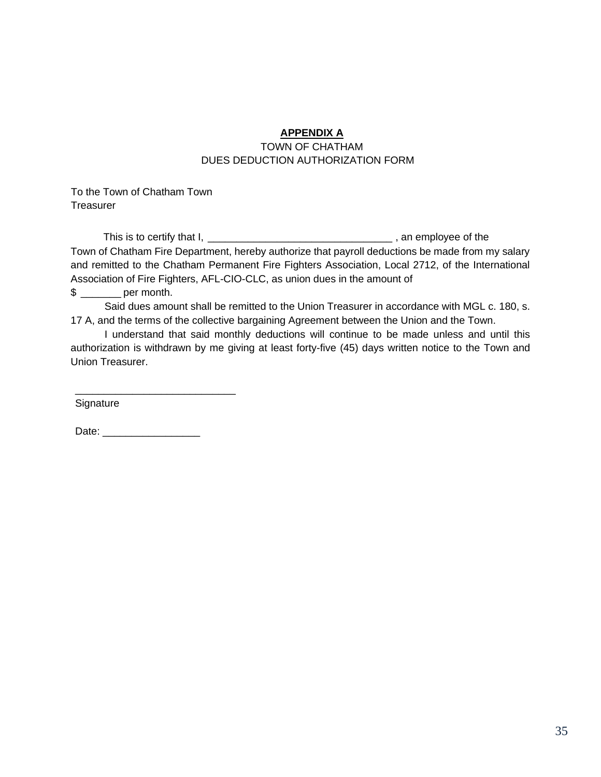## **APPENDIX A**

#### TOWN OF CHATHAM DUES DEDUCTION AUTHORIZATION FORM

To the Town of Chatham Town Treasurer

This is to certify that I, \_\_\_\_\_\_\_\_\_\_\_\_\_\_\_\_\_\_\_\_\_\_\_\_\_\_\_\_\_\_\_\_ , an employee of the Town of Chatham Fire Department, hereby authorize that payroll deductions be made from my salary and remitted to the Chatham Permanent Fire Fighters Association, Local 2712, of the International Association of Fire Fighters, AFL-CIO-CLC, as union dues in the amount of

\$ \_\_\_\_\_\_\_ per month.

Said dues amount shall be remitted to the Union Treasurer in accordance with MGL c. 180, s. 17 A, and the terms of the collective bargaining Agreement between the Union and the Town.

I understand that said monthly deductions will continue to be made unless and until this authorization is withdrawn by me giving at least forty-five (45) days written notice to the Town and Union Treasurer.

Signature

Date: \_\_\_\_\_\_\_\_\_\_\_\_\_\_\_\_\_

\_\_\_\_\_\_\_\_\_\_\_\_\_\_\_\_\_\_\_\_\_\_\_\_\_\_\_\_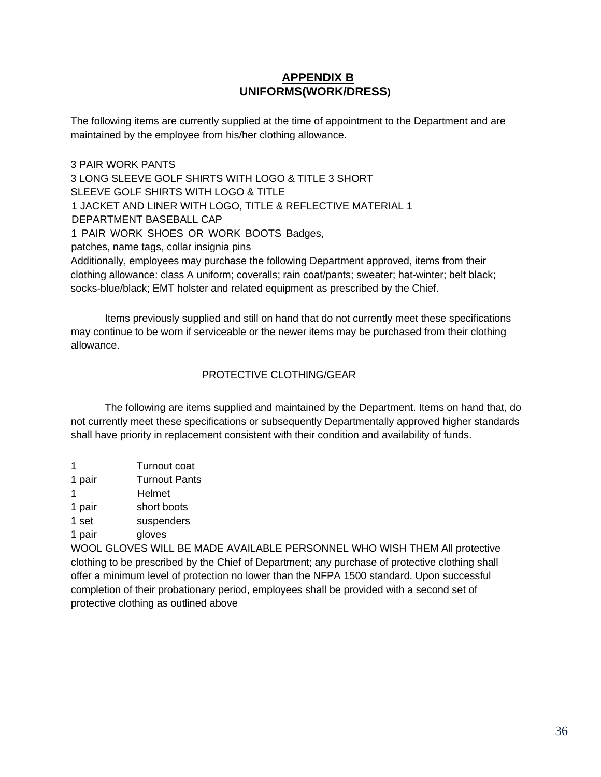## **APPENDIX B UNIFORMS(WORK/DRESS)**

The following items are currently supplied at the time of appointment to the Department and are maintained by the employee from his/her clothing allowance.

3 PAIR WORK PANTS 3 LONG SLEEVE GOLF SHIRTS WITH LOGO & TITLE 3 SHORT SLEEVE GOLF SHIRTS WITH LOGO & TITLE 1 JACKET AND LINER WITH LOGO, TITLE & REFLECTIVE MATERIAL 1 DEPARTMENT BASEBALL CAP 1 PAIR WORK SHOES OR WORK BOOTS Badges, patches, name tags, collar insignia pins Additionally, employees may purchase the following Department approved, items from their clothing allowance: class A uniform; coveralls; rain coat/pants; sweater; hat-winter; belt black;

socks-blue/black; EMT holster and related equipment as prescribed by the Chief.

Items previously supplied and still on hand that do not currently meet these specifications may continue to be worn if serviceable or the newer items may be purchased from their clothing allowance.

#### PROTECTIVE CLOTHING/GEAR

The following are items supplied and maintained by the Department. Items on hand that, do not currently meet these specifications or subsequently Departmentally approved higher standards shall have priority in replacement consistent with their condition and availability of funds.

 Turnout coat pair Turnout Pants 1 Helmet pair short boots set suspenders pair gloves

WOOL GLOVES WILL BE MADE AVAILABLE PERSONNEL WHO WISH THEM All protective clothing to be prescribed by the Chief of Department; any purchase of protective clothing shall offer a minimum level of protection no lower than the NFPA 1500 standard. Upon successful completion of their probationary period, employees shall be provided with a second set of protective clothing as outlined above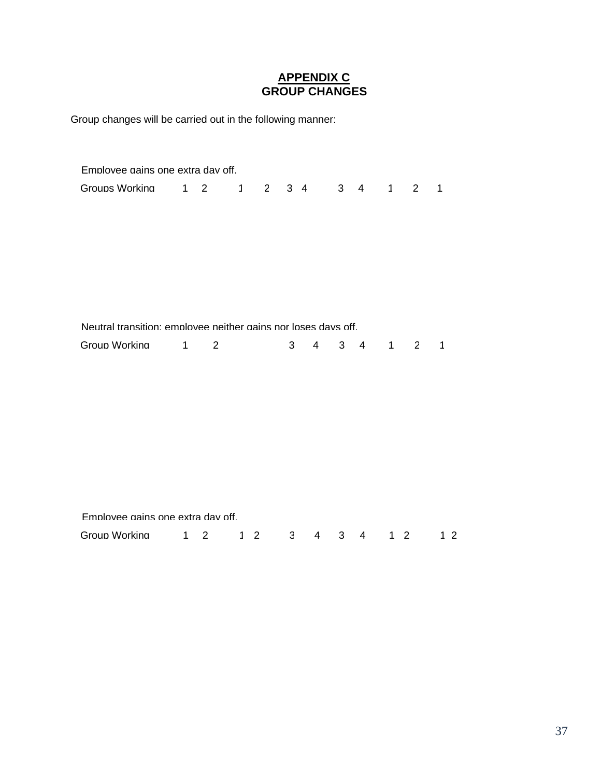## **APPENDIX C GROUP CHANGES**

Group changes will be carried out in the following manner:

| Employee gains one extra day off.                              |                   |                |              |                |                                  |                |                     |           |             |                |
|----------------------------------------------------------------|-------------------|----------------|--------------|----------------|----------------------------------|----------------|---------------------|-----------|-------------|----------------|
| Groups Working                                                 | $1 \quad 2$       |                | $\mathbf{1}$ |                | $2 \quad 3 \quad 4$              |                | $3 \quad 4 \quad 1$ |           | $2^{\circ}$ | $\mathbf{1}$   |
|                                                                |                   |                |              |                |                                  |                |                     |           |             |                |
|                                                                |                   |                |              |                |                                  |                |                     |           |             |                |
|                                                                |                   |                |              |                |                                  |                |                     |           |             |                |
|                                                                |                   |                |              |                |                                  |                |                     |           |             |                |
|                                                                |                   |                |              |                |                                  |                |                     |           |             |                |
|                                                                |                   |                |              |                |                                  |                |                     |           |             |                |
| Neutral transition: employee neither gains nor loses days off. |                   |                |              |                |                                  |                |                     |           |             |                |
| Group Working                                                  | $1 \qquad \qquad$ | 2              |              | 3 <sup>7</sup> | $\overline{4}$                   | $3 \quad 4$    |                     | $1 \quad$ | $2^{\circ}$ | $\mathbf{1}$   |
|                                                                |                   |                |              |                |                                  |                |                     |           |             |                |
|                                                                |                   |                |              |                |                                  |                |                     |           |             |                |
|                                                                |                   |                |              |                |                                  |                |                     |           |             |                |
|                                                                |                   |                |              |                |                                  |                |                     |           |             |                |
|                                                                |                   |                |              |                |                                  |                |                     |           |             |                |
|                                                                |                   |                |              |                |                                  |                |                     |           |             |                |
|                                                                |                   |                |              |                |                                  |                |                     |           |             |                |
|                                                                |                   |                |              |                |                                  |                |                     |           |             |                |
| Emplovee gains one extra day off.                              |                   |                |              |                |                                  |                |                     |           |             |                |
| Group Working                                                  | $1 -$             | $\overline{2}$ | $1 \quad 2$  |                | 3 <sup>1</sup><br>$\overline{4}$ | 3 <sup>7</sup> | $\overline{4}$      | $1\quad2$ |             | 1 <sub>2</sub> |
|                                                                |                   |                |              |                |                                  |                |                     |           |             |                |

Employee Status W 0 0 0 0 W 0 W 0 0 0 0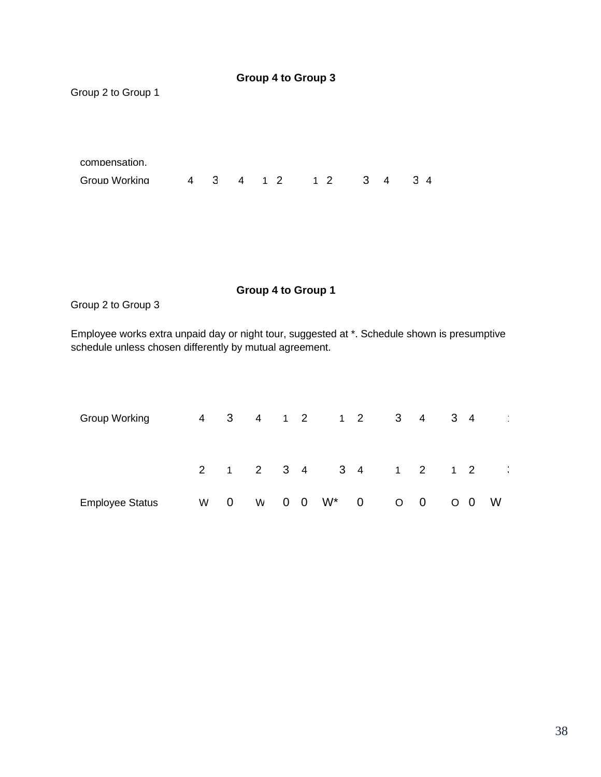| Group 2 to Group 1 |  |  |                                       |  |                 |  |
|--------------------|--|--|---------------------------------------|--|-----------------|--|
|                    |  |  |                                       |  |                 |  |
| compensation.      |  |  |                                       |  |                 |  |
| Group Working      |  |  | 4    3    4    1    2   1   2   3   4 |  | $3\overline{4}$ |  |
|                    |  |  |                                       |  |                 |  |

## **Group 4 to Group 1**

**Group 4 to Group 3**

Group 2 to Group 3

Employee works extra unpaid day or night tour, suggested at \*. Schedule shown is presumptive schedule unless chosen differently by mutual agreement.

| Group Working          |   |             |   |  | 4   3   4   1   2   1   2   3 |                |                       | $-4$                    | $3 \quad 4$ | $\sim$ |
|------------------------|---|-------------|---|--|-------------------------------|----------------|-----------------------|-------------------------|-------------|--------|
|                        |   |             |   |  |                               |                | 2 1 2 3 4 3 4 1 2 1 2 |                         |             |        |
| <b>Employee Status</b> | W | $\mathbf 0$ | W |  | $0 \quad 0 \quad W^*$         | $\overline{0}$ | O                     | $\overline{\mathbf{0}}$ | $O$ 0       | W      |